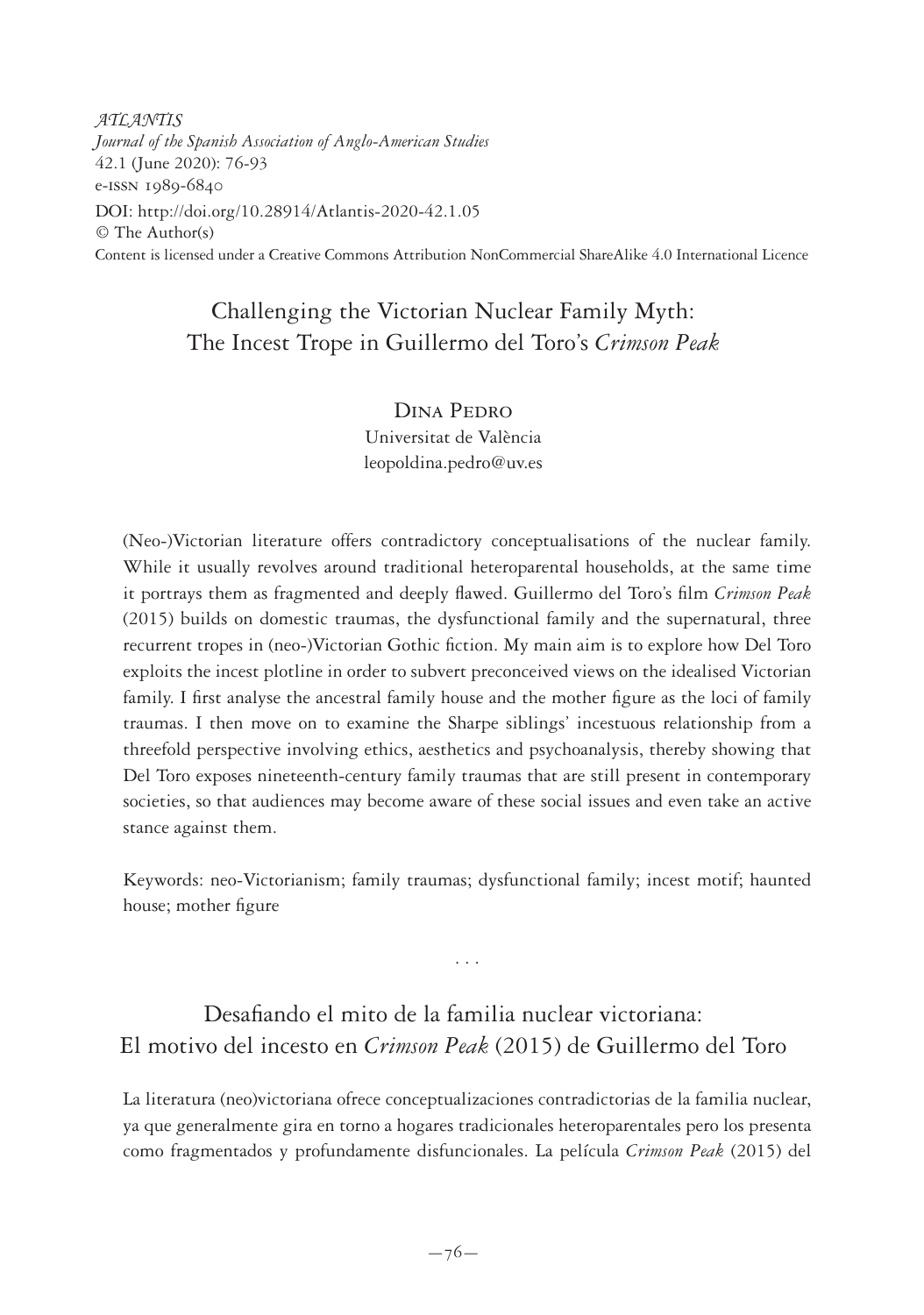*ATLANTIS Journal of the Spanish Association of Anglo-American Studies* 42.1 (June 2020): 76-93 e-issn 1989-6840 DOI: http://doi.org/10.28914/Atlantis-2020-42.1.05 © The Author(s) Content is licensed under a Creative Commons Attribution NonCommercial ShareAlike 4.0 International Licence

# Challenging the Victorian Nuclear Family Myth: The Incest Trope in Guillermo del Toro's *Crimson Peak*

Dina Pedro Universitat de València leopoldina.pedro@uv.es

(Neo-)Victorian literature offers contradictory conceptualisations of the nuclear family. While it usually revolves around traditional heteroparental households, at the same time it portrays them as fragmented and deeply flawed. Guillermo del Toro's film *Crimson Peak* (2015) builds on domestic traumas, the dysfunctional family and the supernatural, three recurrent tropes in (neo-)Victorian Gothic fiction. My main aim is to explore how Del Toro exploits the incest plotline in order to subvert preconceived views on the idealised Victorian family. I first analyse the ancestral family house and the mother figure as the loci of family traumas. I then move on to examine the Sharpe siblings' incestuous relationship from a threefold perspective involving ethics, aesthetics and psychoanalysis, thereby showing that Del Toro exposes nineteenth-century family traumas that are still present in contemporary societies, so that audiences may become aware of these social issues and even take an active stance against them.

Keywords: neo-Victorianism; family traumas; dysfunctional family; incest motif; haunted house; mother figure

. . .

# Desafiando el mito de la familia nuclear victoriana: El motivo del incesto en *Crimson Peak* (2015) de Guillermo del Toro

La literatura (neo)victoriana ofrece conceptualizaciones contradictorias de la familia nuclear, ya que generalmente gira en torno a hogares tradicionales heteroparentales pero los presenta como fragmentados y profundamente disfuncionales. La película *Crimson Peak* (2015) del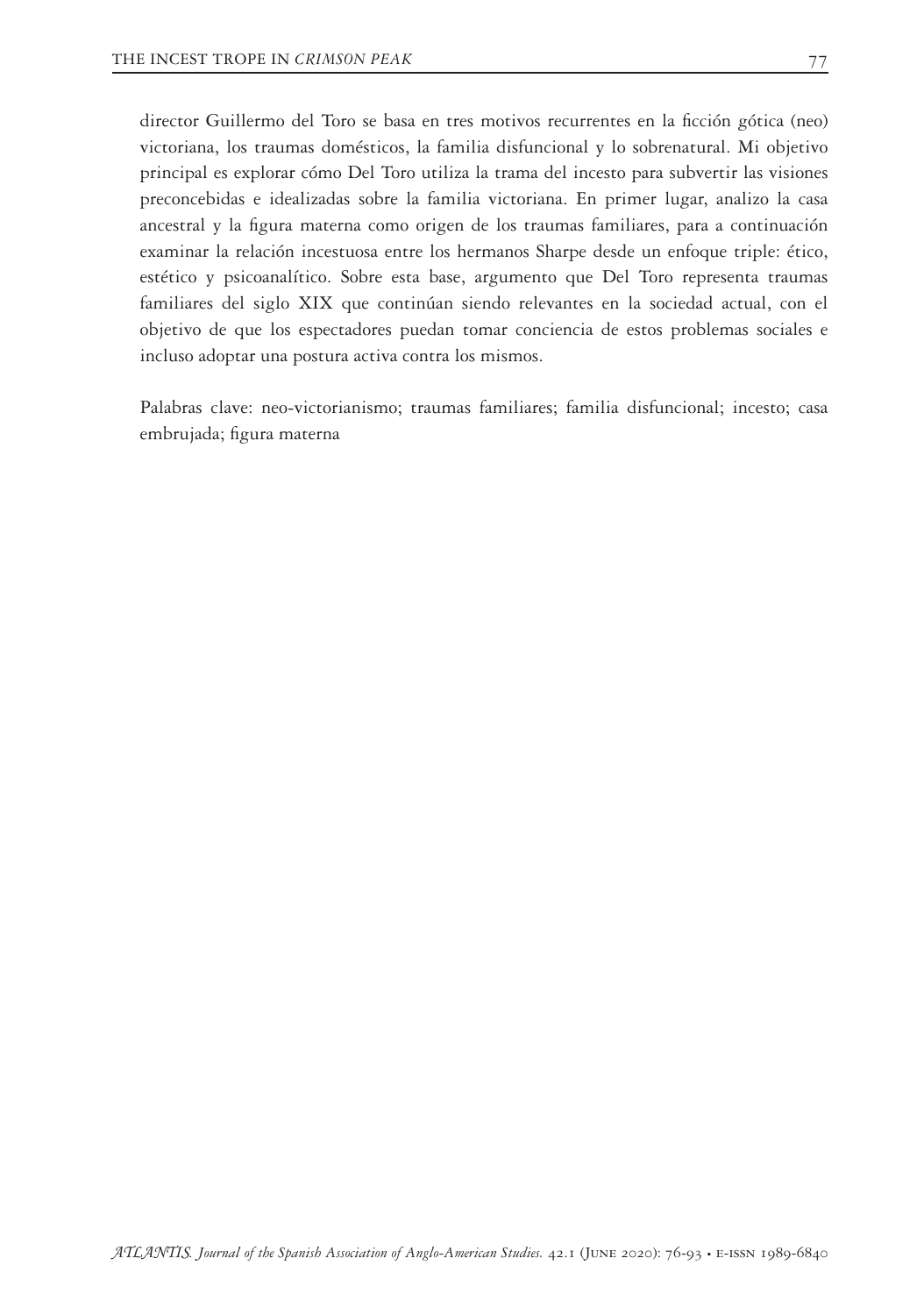director Guillermo del Toro se basa en tres motivos recurrentes en la ficción gótica (neo) victoriana, los traumas domésticos, la familia disfuncional y lo sobrenatural. Mi objetivo principal es explorar cómo Del Toro utiliza la trama del incesto para subvertir las visiones preconcebidas e idealizadas sobre la familia victoriana. En primer lugar, analizo la casa ancestral y la figura materna como origen de los traumas familiares, para a continuación examinar la relación incestuosa entre los hermanos Sharpe desde un enfoque triple: ético, estético y psicoanalítico. Sobre esta base, argumento que Del Toro representa traumas familiares del siglo XIX que continúan siendo relevantes en la sociedad actual, con el objetivo de que los espectadores puedan tomar conciencia de estos problemas sociales e incluso adoptar una postura activa contra los mismos.

Palabras clave: neo-victorianismo; traumas familiares; familia disfuncional; incesto; casa embrujada; figura materna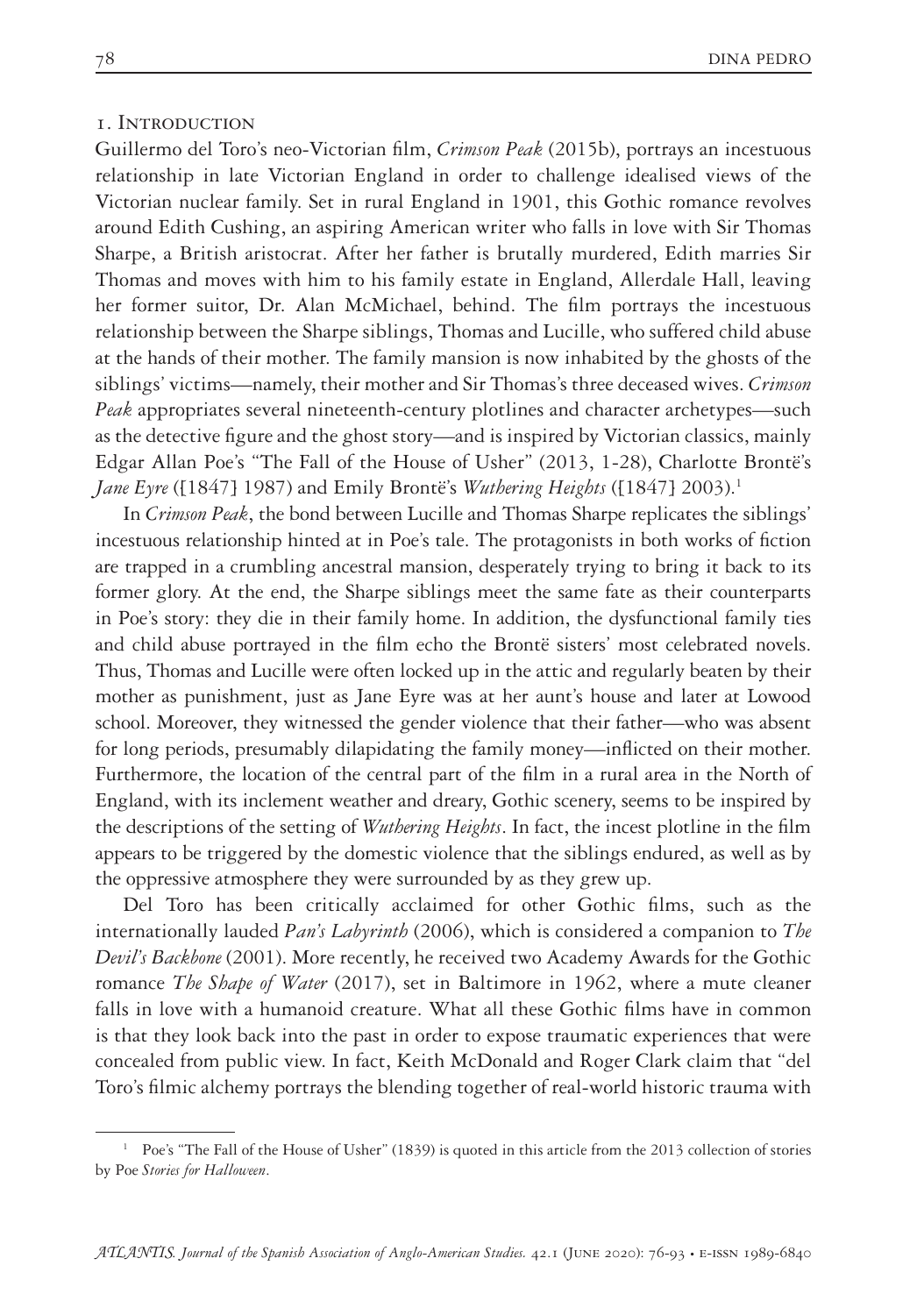### 1. Introduction

Guillermo del Toro's neo-Victorian film, *Crimson Peak* (2015b), portrays an incestuous relationship in late Victorian England in order to challenge idealised views of the Victorian nuclear family. Set in rural England in 1901, this Gothic romance revolves around Edith Cushing, an aspiring American writer who falls in love with Sir Thomas Sharpe, a British aristocrat. After her father is brutally murdered, Edith marries Sir Thomas and moves with him to his family estate in England, Allerdale Hall, leaving her former suitor, Dr. Alan McMichael, behind. The film portrays the incestuous relationship between the Sharpe siblings, Thomas and Lucille, who suffered child abuse at the hands of their mother. The family mansion is now inhabited by the ghosts of the siblings' victims—namely, their mother and Sir Thomas's three deceased wives. *Crimson Peak* appropriates several nineteenth-century plotlines and character archetypes—such as the detective figure and the ghost story—and is inspired by Victorian classics, mainly Edgar Allan Poe's "The Fall of the House of Usher" (2013, 1-28), Charlotte Brontë's *Jane Eyre* ([1847] 1987) and Emily Brontë's *Wuthering Heights* ([1847] 2003).<sup>1</sup>

In *Crimson Peak*, the bond between Lucille and Thomas Sharpe replicates the siblings' incestuous relationship hinted at in Poe's tale. The protagonists in both works of fiction are trapped in a crumbling ancestral mansion, desperately trying to bring it back to its former glory. At the end, the Sharpe siblings meet the same fate as their counterparts in Poe's story: they die in their family home. In addition, the dysfunctional family ties and child abuse portrayed in the film echo the Brontë sisters' most celebrated novels. Thus, Thomas and Lucille were often locked up in the attic and regularly beaten by their mother as punishment, just as Jane Eyre was at her aunt's house and later at Lowood school. Moreover, they witnessed the gender violence that their father—who was absent for long periods, presumably dilapidating the family money—inflicted on their mother. Furthermore, the location of the central part of the film in a rural area in the North of England, with its inclement weather and dreary, Gothic scenery, seems to be inspired by the descriptions of the setting of *Wuthering Heights*. In fact, the incest plotline in the film appears to be triggered by the domestic violence that the siblings endured, as well as by the oppressive atmosphere they were surrounded by as they grew up.

Del Toro has been critically acclaimed for other Gothic films, such as the internationally lauded *Pan's Labyrinth* (2006), which is considered a companion to *The Devil's Backbone* (2001). More recently, he received two Academy Awards for the Gothic romance *The Shape of Water* (2017), set in Baltimore in 1962, where a mute cleaner falls in love with a humanoid creature. What all these Gothic films have in common is that they look back into the past in order to expose traumatic experiences that were concealed from public view. In fact, Keith McDonald and Roger Clark claim that "del Toro's filmic alchemy portrays the blending together of real-world historic trauma with

<sup>1</sup> Poe's "The Fall of the House of Usher" (1839) is quoted in this article from the 2013 collection of stories by Poe *Stories for Halloween*.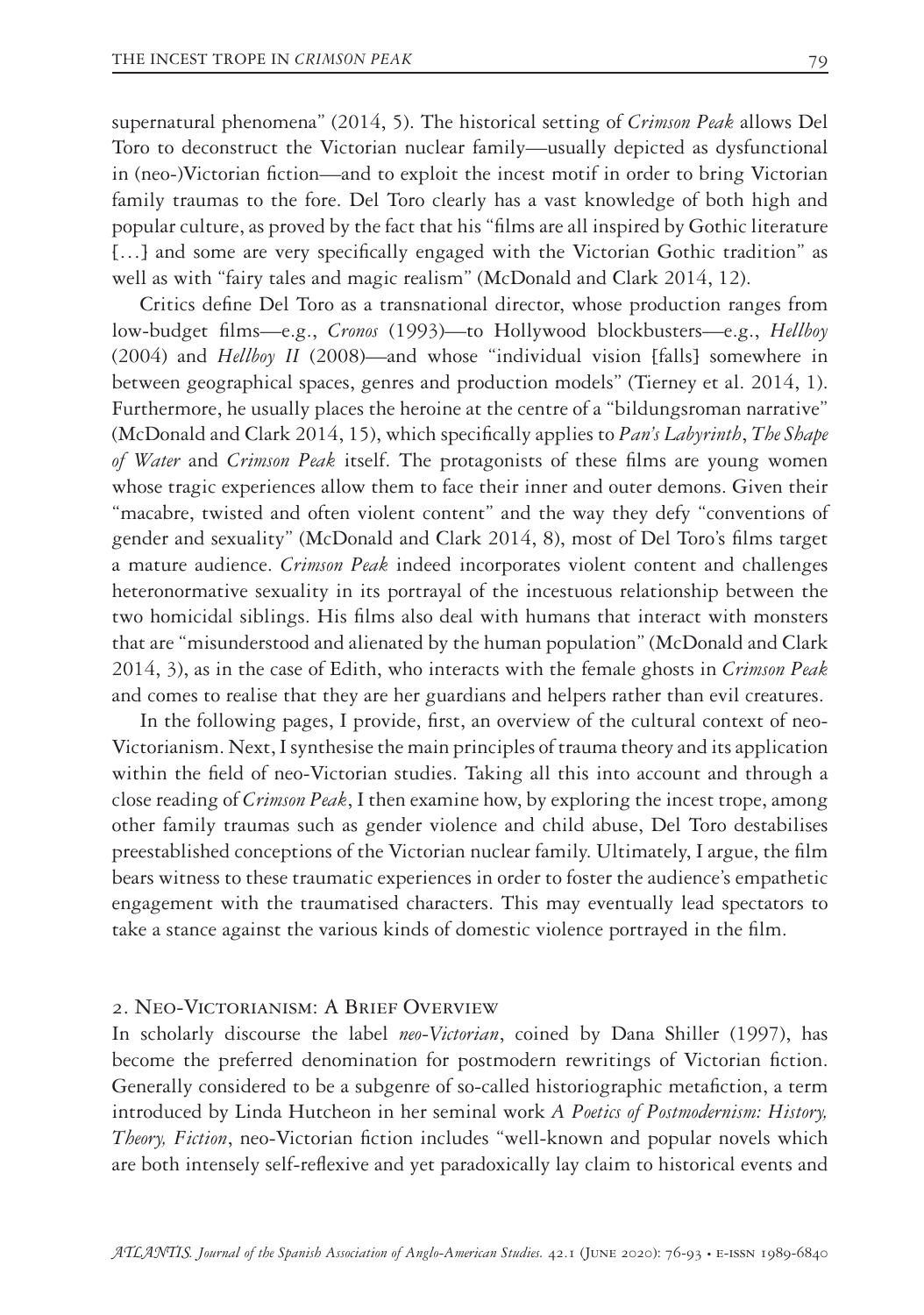supernatural phenomena" (2014, 5). The historical setting of *Crimson Peak* allows Del Toro to deconstruct the Victorian nuclear family—usually depicted as dysfunctional in (neo-)Victorian fiction—and to exploit the incest motif in order to bring Victorian family traumas to the fore. Del Toro clearly has a vast knowledge of both high and popular culture, as proved by the fact that his "films are all inspired by Gothic literature [...] and some are very specifically engaged with the Victorian Gothic tradition" as well as with "fairy tales and magic realism" (McDonald and Clark 2014, 12).

Critics define Del Toro as a transnational director, whose production ranges from low-budget films—e.g., *Cronos* (1993)—to Hollywood blockbusters—e.g., *Hellboy* (2004) and *Hellboy II* (2008)—and whose "individual vision [falls] somewhere in between geographical spaces, genres and production models" (Tierney et al. 2014, 1). Furthermore, he usually places the heroine at the centre of a "bildungsroman narrative" (McDonald and Clark 2014, 15), which specifically applies to *Pan's Labyrinth*, *The Shape of Water* and *Crimson Peak* itself. The protagonists of these films are young women whose tragic experiences allow them to face their inner and outer demons. Given their "macabre, twisted and often violent content" and the way they defy "conventions of gender and sexuality" (McDonald and Clark 2014, 8), most of Del Toro's films target a mature audience. *Crimson Peak* indeed incorporates violent content and challenges heteronormative sexuality in its portrayal of the incestuous relationship between the two homicidal siblings. His films also deal with humans that interact with monsters that are "misunderstood and alienated by the human population" (McDonald and Clark 2014, 3), as in the case of Edith, who interacts with the female ghosts in *Crimson Peak* and comes to realise that they are her guardians and helpers rather than evil creatures.

In the following pages, I provide, first, an overview of the cultural context of neo-Victorianism. Next, I synthesise the main principles of trauma theory and its application within the field of neo-Victorian studies. Taking all this into account and through a close reading of *Crimson Peak*, I then examine how, by exploring the incest trope, among other family traumas such as gender violence and child abuse, Del Toro destabilises preestablished conceptions of the Victorian nuclear family. Ultimately, I argue, the film bears witness to these traumatic experiences in order to foster the audience's empathetic engagement with the traumatised characters. This may eventually lead spectators to take a stance against the various kinds of domestic violence portrayed in the film.

### 2. Neo-Victorianism: A Brief Overview

In scholarly discourse the label *neo-Victorian*, coined by Dana Shiller (1997), has become the preferred denomination for postmodern rewritings of Victorian fiction. Generally considered to be a subgenre of so-called historiographic metafiction, a term introduced by Linda Hutcheon in her seminal work *A Poetics of Postmodernism: History, Theory, Fiction*, neo-Victorian fiction includes "well-known and popular novels which are both intensely self-reflexive and yet paradoxically lay claim to historical events and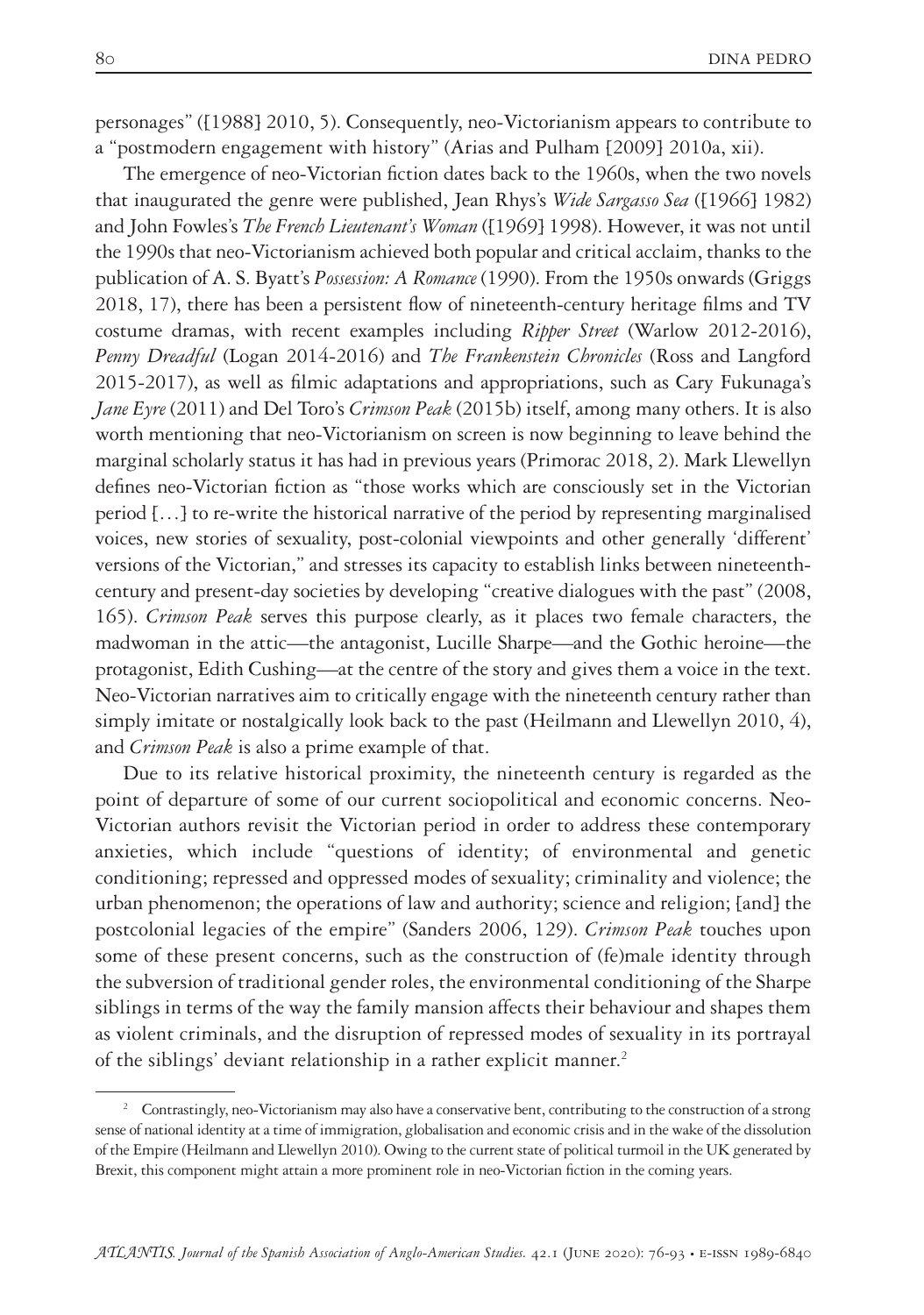personages" ([1988] 2010, 5). Consequently, neo-Victorianism appears to contribute to a "postmodern engagement with history" (Arias and Pulham [2009] 2010a, xii).

The emergence of neo-Victorian fiction dates back to the 1960s, when the two novels that inaugurated the genre were published, Jean Rhys's *Wide Sargasso Sea* ([1966] 1982) and John Fowles's *The French Lieutenant's Woman* ([1969] 1998). However, it was not until the 1990s that neo-Victorianism achieved both popular and critical acclaim, thanks to the publication of A. S. Byatt's *Possession: A Romance* (1990). From the 1950s onwards (Griggs 2018, 17), there has been a persistent flow of nineteenth-century heritage films and TV costume dramas, with recent examples including *Ripper Street* (Warlow 2012-2016), *Penny Dreadful* (Logan 2014-2016) and *The Frankenstein Chronicles* (Ross and Langford 2015-2017), as well as filmic adaptations and appropriations, such as Cary Fukunaga's *Jane Eyre* (2011) and Del Toro's *Crimson Peak* (2015b) itself, among many others. It is also worth mentioning that neo-Victorianism on screen is now beginning to leave behind the marginal scholarly status it has had in previous years (Primorac 2018, 2). Mark Llewellyn defines neo-Victorian fiction as "those works which are consciously set in the Victorian period […] to re-write the historical narrative of the period by representing marginalised voices, new stories of sexuality, post-colonial viewpoints and other generally 'different' versions of the Victorian," and stresses its capacity to establish links between nineteenthcentury and present-day societies by developing "creative dialogues with the past" (2008, 165). *Crimson Peak* serves this purpose clearly, as it places two female characters, the madwoman in the attic—the antagonist, Lucille Sharpe—and the Gothic heroine—the protagonist, Edith Cushing—at the centre of the story and gives them a voice in the text. Neo-Victorian narratives aim to critically engage with the nineteenth century rather than simply imitate or nostalgically look back to the past (Heilmann and Llewellyn 2010, 4), and *Crimson Peak* is also a prime example of that.

Due to its relative historical proximity, the nineteenth century is regarded as the point of departure of some of our current sociopolitical and economic concerns. Neo-Victorian authors revisit the Victorian period in order to address these contemporary anxieties, which include "questions of identity; of environmental and genetic conditioning; repressed and oppressed modes of sexuality; criminality and violence; the urban phenomenon; the operations of law and authority; science and religion; [and] the postcolonial legacies of the empire" (Sanders 2006, 129). *Crimson Peak* touches upon some of these present concerns, such as the construction of (fe)male identity through the subversion of traditional gender roles, the environmental conditioning of the Sharpe siblings in terms of the way the family mansion affects their behaviour and shapes them as violent criminals, and the disruption of repressed modes of sexuality in its portrayal of the siblings' deviant relationship in a rather explicit manner.<sup>2</sup>

<sup>&</sup>lt;sup>2</sup> Contrastingly, neo-Victorianism may also have a conservative bent, contributing to the construction of a strong sense of national identity at a time of immigration, globalisation and economic crisis and in the wake of the dissolution of the Empire (Heilmann and Llewellyn 2010). Owing to the current state of political turmoil in the UK generated by Brexit, this component might attain a more prominent role in neo-Victorian fiction in the coming years.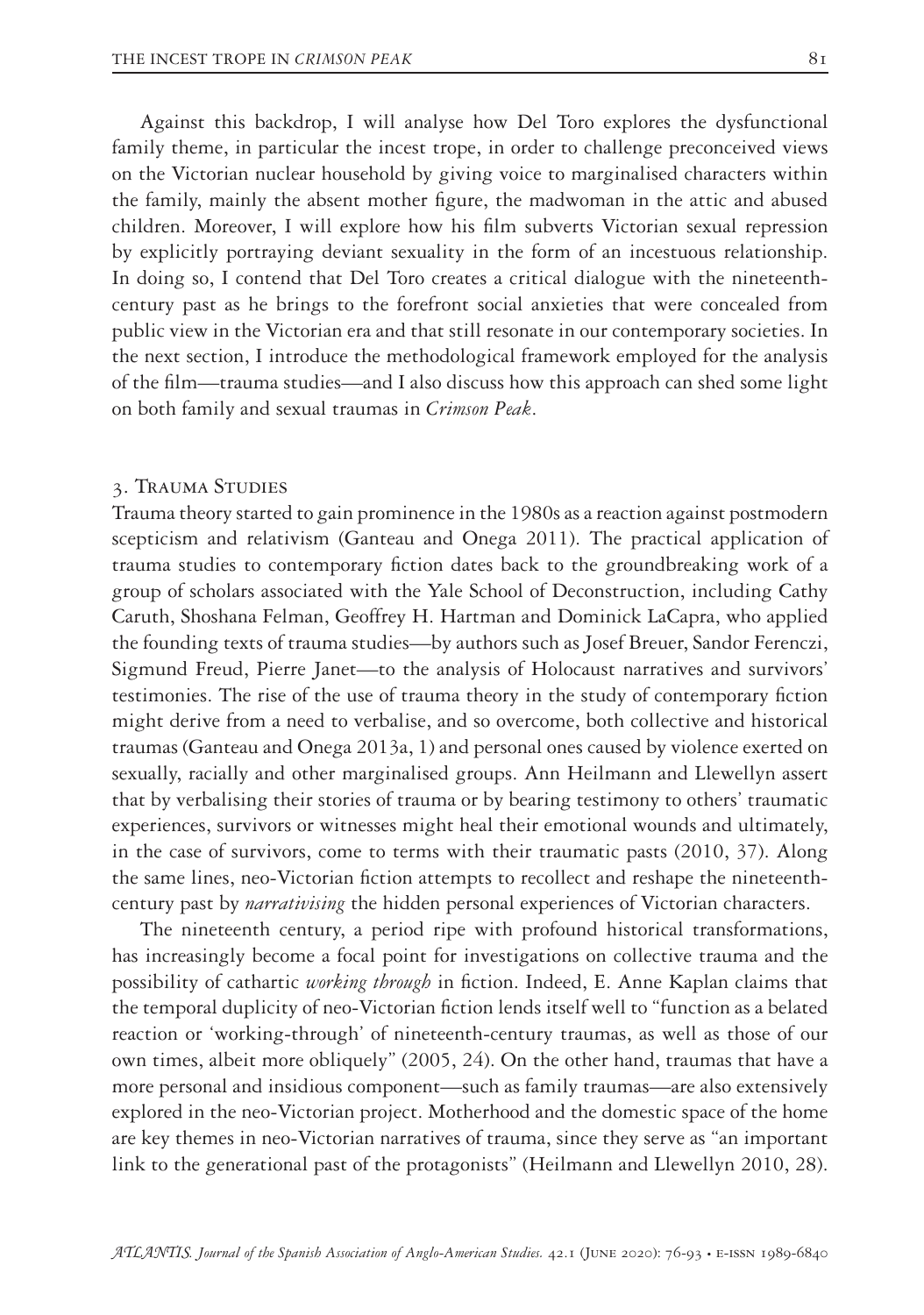Against this backdrop, I will analyse how Del Toro explores the dysfunctional family theme, in particular the incest trope, in order to challenge preconceived views on the Victorian nuclear household by giving voice to marginalised characters within the family, mainly the absent mother figure, the madwoman in the attic and abused children. Moreover, I will explore how his film subverts Victorian sexual repression by explicitly portraying deviant sexuality in the form of an incestuous relationship. In doing so, I contend that Del Toro creates a critical dialogue with the nineteenthcentury past as he brings to the forefront social anxieties that were concealed from public view in the Victorian era and that still resonate in our contemporary societies. In the next section, I introduce the methodological framework employed for the analysis of the film—trauma studies—and I also discuss how this approach can shed some light on both family and sexual traumas in *Crimson Peak*.

#### 3. Trauma Studies

Trauma theory started to gain prominence in the 1980s as a reaction against postmodern scepticism and relativism (Ganteau and Onega 2011). The practical application of trauma studies to contemporary fiction dates back to the groundbreaking work of a group of scholars associated with the Yale School of Deconstruction, including Cathy Caruth, Shoshana Felman, Geoffrey H. Hartman and Dominick LaCapra, who applied the founding texts of trauma studies—by authors such as Josef Breuer, Sandor Ferenczi, Sigmund Freud, Pierre Janet—to the analysis of Holocaust narratives and survivors' testimonies. The rise of the use of trauma theory in the study of contemporary fiction might derive from a need to verbalise, and so overcome, both collective and historical traumas (Ganteau and Onega 2013a, 1) and personal ones caused by violence exerted on sexually, racially and other marginalised groups. Ann Heilmann and Llewellyn assert that by verbalising their stories of trauma or by bearing testimony to others' traumatic experiences, survivors or witnesses might heal their emotional wounds and ultimately, in the case of survivors, come to terms with their traumatic pasts (2010, 37). Along the same lines, neo-Victorian fiction attempts to recollect and reshape the nineteenthcentury past by *narrativising* the hidden personal experiences of Victorian characters.

The nineteenth century, a period ripe with profound historical transformations, has increasingly become a focal point for investigations on collective trauma and the possibility of cathartic *working through* in fiction. Indeed, E. Anne Kaplan claims that the temporal duplicity of neo-Victorian fiction lends itself well to "function as a belated reaction or 'working-through' of nineteenth-century traumas, as well as those of our own times, albeit more obliquely" (2005, 24). On the other hand, traumas that have a more personal and insidious component—such as family traumas—are also extensively explored in the neo-Victorian project. Motherhood and the domestic space of the home are key themes in neo-Victorian narratives of trauma, since they serve as "an important link to the generational past of the protagonists" (Heilmann and Llewellyn 2010, 28).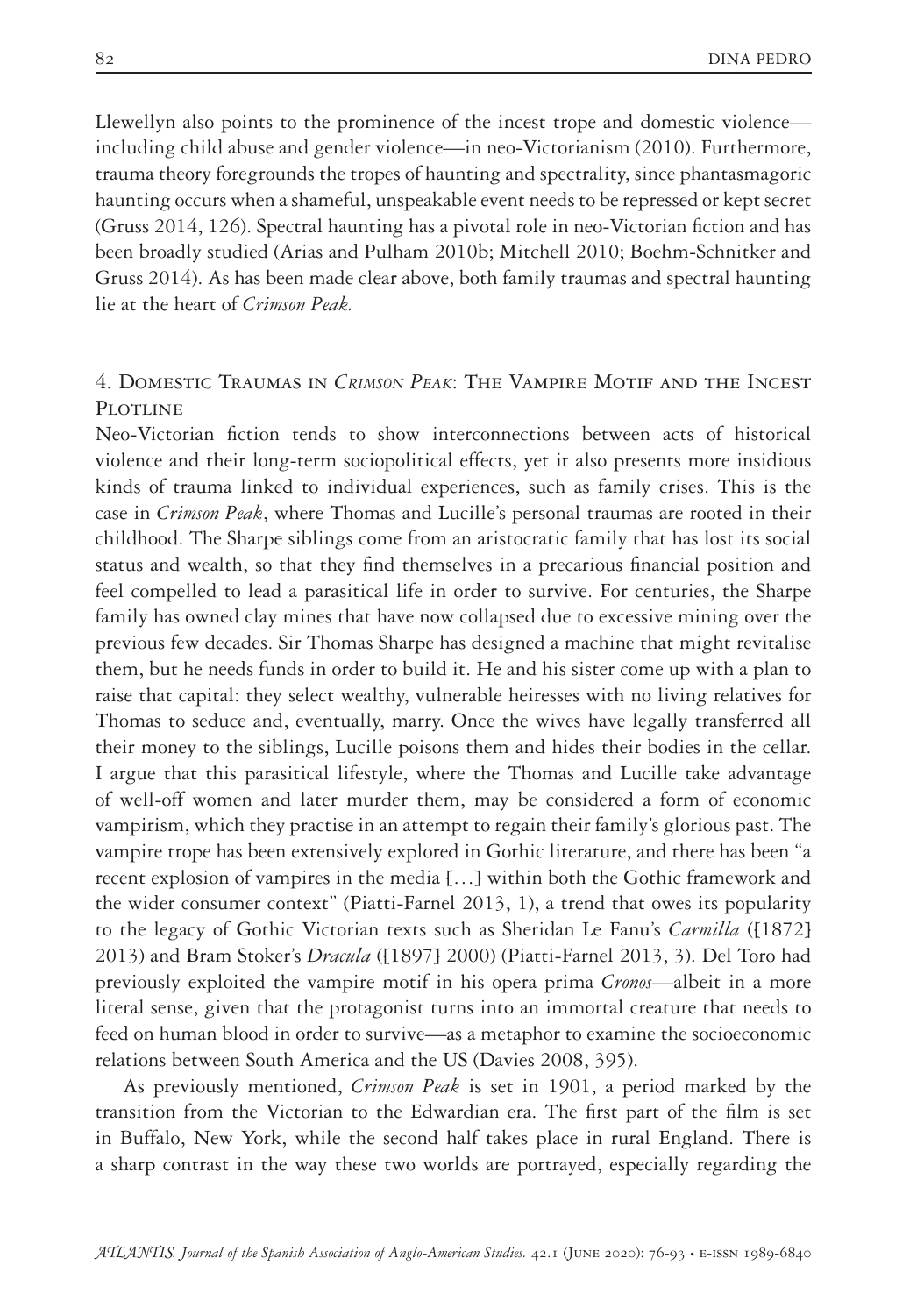Llewellyn also points to the prominence of the incest trope and domestic violence including child abuse and gender violence—in neo-Victorianism (2010). Furthermore, trauma theory foregrounds the tropes of haunting and spectrality, since phantasmagoric haunting occurs when a shameful, unspeakable event needs to be repressed or kept secret (Gruss 2014, 126). Spectral haunting has a pivotal role in neo-Victorian fiction and has been broadly studied (Arias and Pulham 2010b; Mitchell 2010; Boehm-Schnitker and Gruss 2014). As has been made clear above, both family traumas and spectral haunting lie at the heart of *Crimson Peak.*

## 4. Domestic Traumas in *Crimson Peak*: The Vampire Motif and the Incest PLOTLINE

Neo-Victorian fiction tends to show interconnections between acts of historical violence and their long-term sociopolitical effects, yet it also presents more insidious kinds of trauma linked to individual experiences, such as family crises. This is the case in *Crimson Peak*, where Thomas and Lucille's personal traumas are rooted in their childhood. The Sharpe siblings come from an aristocratic family that has lost its social status and wealth, so that they find themselves in a precarious financial position and feel compelled to lead a parasitical life in order to survive. For centuries, the Sharpe family has owned clay mines that have now collapsed due to excessive mining over the previous few decades. Sir Thomas Sharpe has designed a machine that might revitalise them, but he needs funds in order to build it. He and his sister come up with a plan to raise that capital: they select wealthy, vulnerable heiresses with no living relatives for Thomas to seduce and, eventually, marry. Once the wives have legally transferred all their money to the siblings, Lucille poisons them and hides their bodies in the cellar. I argue that this parasitical lifestyle, where the Thomas and Lucille take advantage of well-off women and later murder them, may be considered a form of economic vampirism, which they practise in an attempt to regain their family's glorious past. The vampire trope has been extensively explored in Gothic literature, and there has been "a recent explosion of vampires in the media […] within both the Gothic framework and the wider consumer context" (Piatti-Farnel 2013, 1), a trend that owes its popularity to the legacy of Gothic Victorian texts such as Sheridan Le Fanu's *Carmilla* ([1872] 2013) and Bram Stoker's *Dracula* ([1897] 2000) (Piatti-Farnel 2013, 3). Del Toro had previously exploited the vampire motif in his opera prima *Cronos*—albeit in a more literal sense, given that the protagonist turns into an immortal creature that needs to feed on human blood in order to survive—as a metaphor to examine the socioeconomic relations between South America and the US (Davies 2008, 395).

As previously mentioned, *Crimson Peak* is set in 1901, a period marked by the transition from the Victorian to the Edwardian era. The first part of the film is set in Buffalo, New York, while the second half takes place in rural England. There is a sharp contrast in the way these two worlds are portrayed, especially regarding the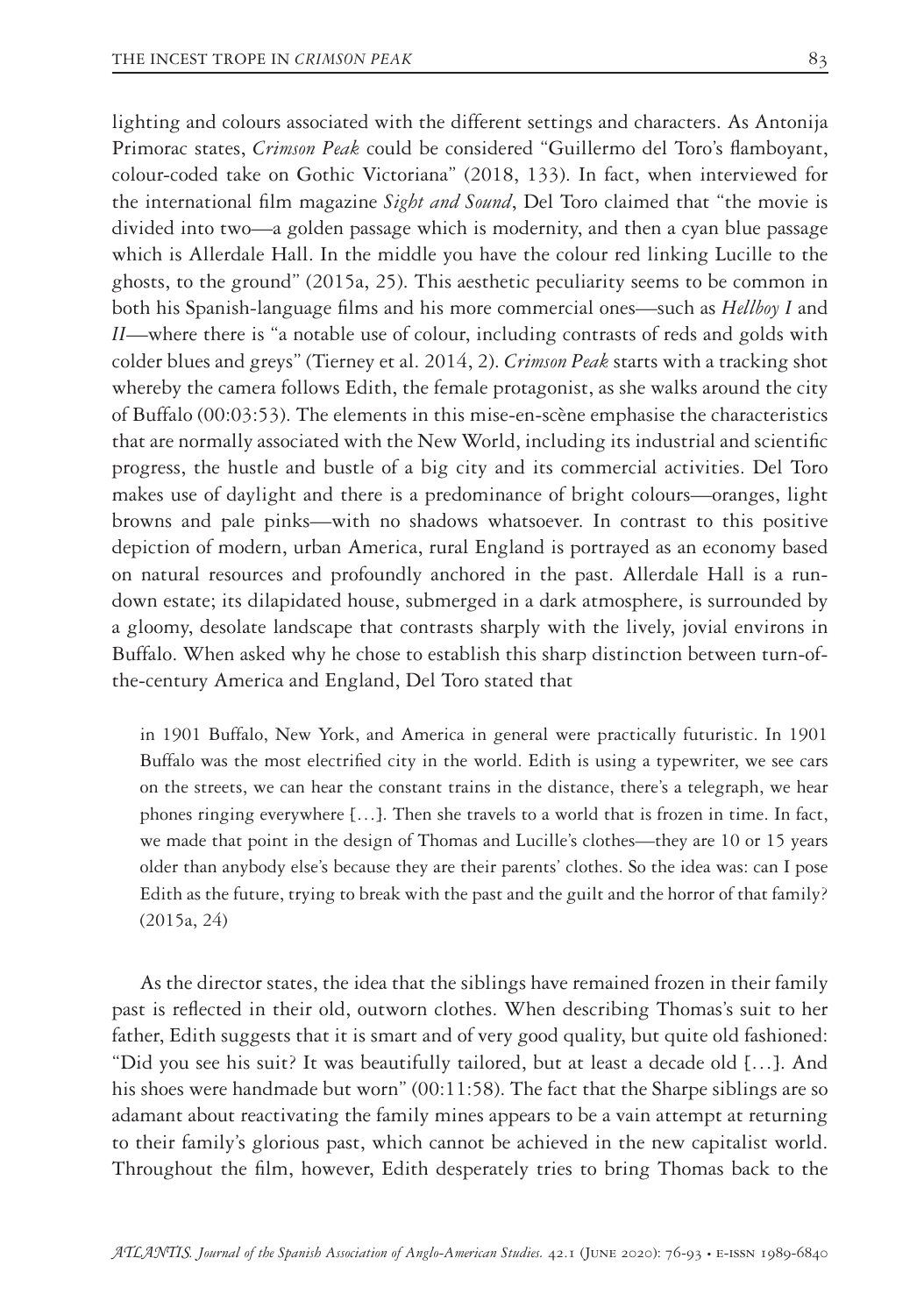lighting and colours associated with the different settings and characters. As Antonija Primorac states, *Crimson Peak* could be considered "Guillermo del Toro's flamboyant, colour-coded take on Gothic Victoriana" (2018, 133). In fact, when interviewed for the international film magazine *Sight and Sound*, Del Toro claimed that "the movie is divided into two—a golden passage which is modernity, and then a cyan blue passage which is Allerdale Hall. In the middle you have the colour red linking Lucille to the ghosts, to the ground" (2015a, 25). This aesthetic peculiarity seems to be common in both his Spanish-language films and his more commercial ones—such as *Hellboy I* and *II*—where there is "a notable use of colour, including contrasts of reds and golds with colder blues and greys" (Tierney et al. 2014, 2). *Crimson Peak* starts with a tracking shot whereby the camera follows Edith, the female protagonist, as she walks around the city of Buffalo (00:03:53). The elements in this mise-en-scène emphasise the characteristics that are normally associated with the New World, including its industrial and scientific progress, the hustle and bustle of a big city and its commercial activities. Del Toro makes use of daylight and there is a predominance of bright colours—oranges, light browns and pale pinks—with no shadows whatsoever. In contrast to this positive depiction of modern, urban America, rural England is portrayed as an economy based on natural resources and profoundly anchored in the past. Allerdale Hall is a rundown estate; its dilapidated house, submerged in a dark atmosphere, is surrounded by a gloomy, desolate landscape that contrasts sharply with the lively, jovial environs in Buffalo. When asked why he chose to establish this sharp distinction between turn-ofthe-century America and England, Del Toro stated that

in 1901 Buffalo, New York, and America in general were practically futuristic. In 1901 Buffalo was the most electrified city in the world. Edith is using a typewriter, we see cars on the streets, we can hear the constant trains in the distance, there's a telegraph, we hear phones ringing everywhere […]. Then she travels to a world that is frozen in time. In fact, we made that point in the design of Thomas and Lucille's clothes—they are 10 or 15 years older than anybody else's because they are their parents' clothes. So the idea was: can I pose Edith as the future, trying to break with the past and the guilt and the horror of that family? (2015a, 24)

As the director states, the idea that the siblings have remained frozen in their family past is reflected in their old, outworn clothes. When describing Thomas's suit to her father, Edith suggests that it is smart and of very good quality, but quite old fashioned: "Did you see his suit? It was beautifully tailored, but at least a decade old […]. And his shoes were handmade but worn" (00:11:58). The fact that the Sharpe siblings are so adamant about reactivating the family mines appears to be a vain attempt at returning to their family's glorious past, which cannot be achieved in the new capitalist world. Throughout the film, however, Edith desperately tries to bring Thomas back to the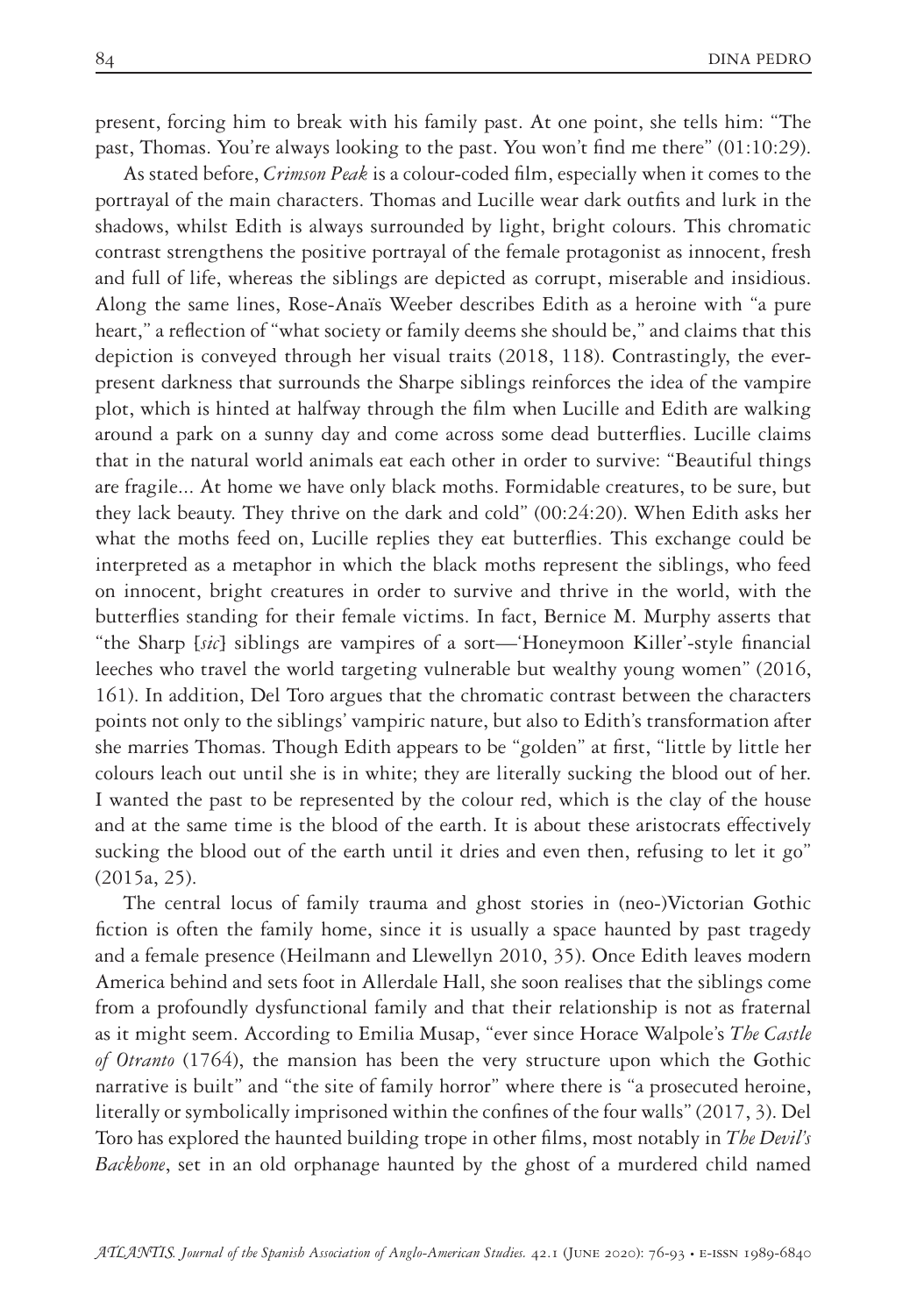present, forcing him to break with his family past. At one point, she tells him: "The past, Thomas. You're always looking to the past. You won't find me there" (01:10:29).

As stated before, *Crimson Peak* is a colour-coded film, especially when it comes to the portrayal of the main characters. Thomas and Lucille wear dark outfits and lurk in the shadows, whilst Edith is always surrounded by light, bright colours. This chromatic contrast strengthens the positive portrayal of the female protagonist as innocent, fresh and full of life, whereas the siblings are depicted as corrupt, miserable and insidious. Along the same lines, Rose-Anaïs Weeber describes Edith as a heroine with "a pure heart," a reflection of "what society or family deems she should be," and claims that this depiction is conveyed through her visual traits (2018, 118). Contrastingly, the everpresent darkness that surrounds the Sharpe siblings reinforces the idea of the vampire plot, which is hinted at halfway through the film when Lucille and Edith are walking around a park on a sunny day and come across some dead butterflies. Lucille claims that in the natural world animals eat each other in order to survive: "Beautiful things are fragile... At home we have only black moths. Formidable creatures, to be sure, but they lack beauty. They thrive on the dark and cold" (00:24:20). When Edith asks her what the moths feed on, Lucille replies they eat butterflies. This exchange could be interpreted as a metaphor in which the black moths represent the siblings, who feed on innocent, bright creatures in order to survive and thrive in the world, with the butterflies standing for their female victims. In fact, Bernice M. Murphy asserts that "the Sharp [*sic*] siblings are vampires of a sort—'Honeymoon Killer'-style financial leeches who travel the world targeting vulnerable but wealthy young women" (2016, 161). In addition, Del Toro argues that the chromatic contrast between the characters points not only to the siblings' vampiric nature, but also to Edith's transformation after she marries Thomas. Though Edith appears to be "golden" at first, "little by little her colours leach out until she is in white; they are literally sucking the blood out of her. I wanted the past to be represented by the colour red, which is the clay of the house and at the same time is the blood of the earth. It is about these aristocrats effectively sucking the blood out of the earth until it dries and even then, refusing to let it go" (2015a, 25).

The central locus of family trauma and ghost stories in (neo-)Victorian Gothic fiction is often the family home, since it is usually a space haunted by past tragedy and a female presence (Heilmann and Llewellyn 2010, 35). Once Edith leaves modern America behind and sets foot in Allerdale Hall, she soon realises that the siblings come from a profoundly dysfunctional family and that their relationship is not as fraternal as it might seem. According to Emilia Musap, "ever since Horace Walpole's *The Castle of Otranto* (1764), the mansion has been the very structure upon which the Gothic narrative is built" and "the site of family horror" where there is "a prosecuted heroine, literally or symbolically imprisoned within the confines of the four walls" (2017, 3). Del Toro has explored the haunted building trope in other films, most notably in *The Devil's Backbone*, set in an old orphanage haunted by the ghost of a murdered child named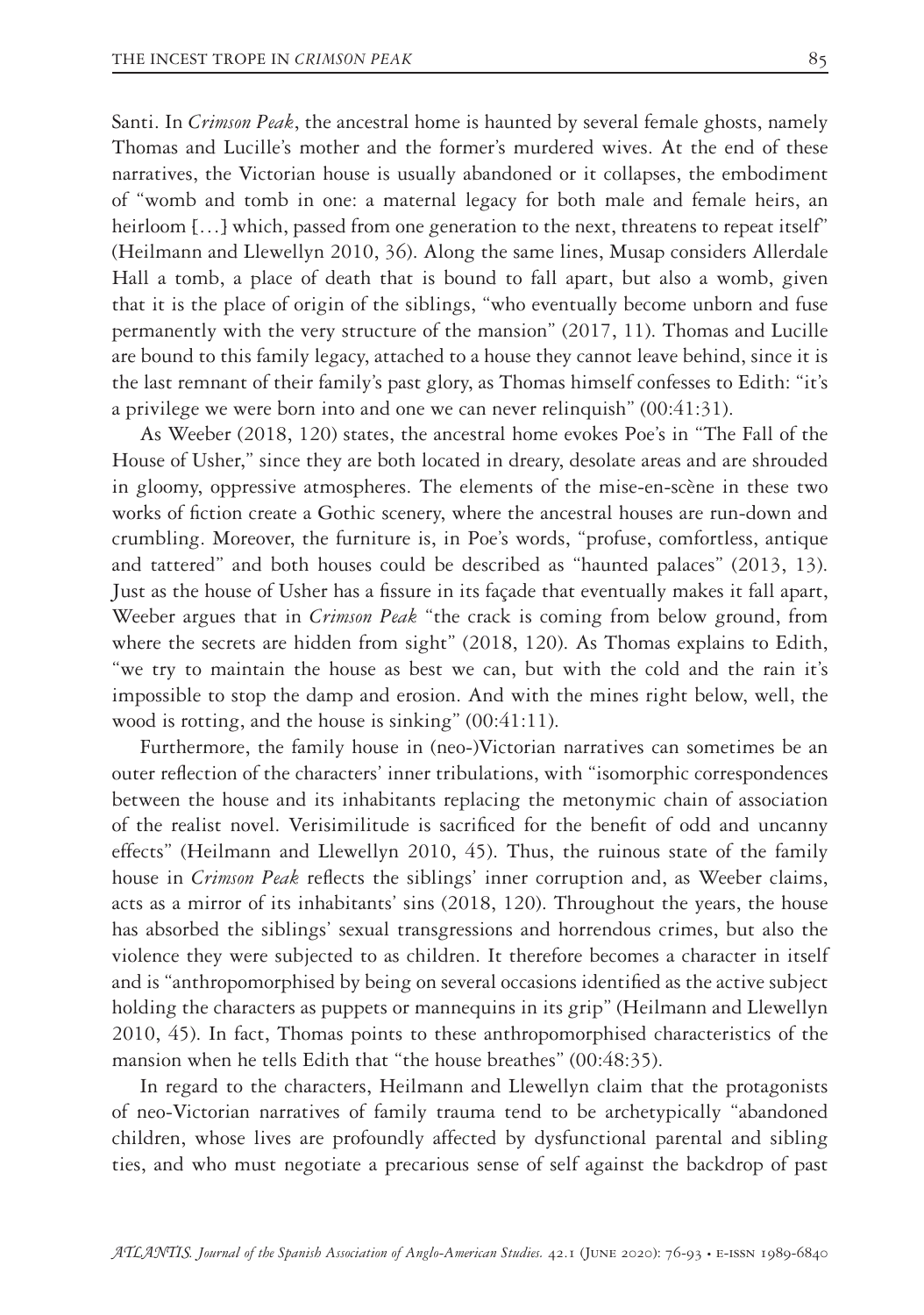Santi. In *Crimson Peak*, the ancestral home is haunted by several female ghosts, namely Thomas and Lucille's mother and the former's murdered wives. At the end of these narratives, the Victorian house is usually abandoned or it collapses, the embodiment of "womb and tomb in one: a maternal legacy for both male and female heirs, an heirloom [...] which, passed from one generation to the next, threatens to repeat itself" (Heilmann and Llewellyn 2010, 36). Along the same lines, Musap considers Allerdale Hall a tomb, a place of death that is bound to fall apart, but also a womb, given that it is the place of origin of the siblings, "who eventually become unborn and fuse permanently with the very structure of the mansion" (2017, 11). Thomas and Lucille are bound to this family legacy, attached to a house they cannot leave behind, since it is the last remnant of their family's past glory, as Thomas himself confesses to Edith: "it's a privilege we were born into and one we can never relinquish" (00:41:31).

As Weeber (2018, 120) states, the ancestral home evokes Poe's in "The Fall of the House of Usher," since they are both located in dreary, desolate areas and are shrouded in gloomy, oppressive atmospheres. The elements of the mise-en-scène in these two works of fiction create a Gothic scenery, where the ancestral houses are run-down and crumbling. Moreover, the furniture is, in Poe's words, "profuse, comfortless, antique and tattered" and both houses could be described as "haunted palaces" (2013, 13). Just as the house of Usher has a fissure in its façade that eventually makes it fall apart, Weeber argues that in *Crimson Peak* "the crack is coming from below ground, from where the secrets are hidden from sight" (2018, 120). As Thomas explains to Edith, "we try to maintain the house as best we can, but with the cold and the rain it's impossible to stop the damp and erosion. And with the mines right below, well, the wood is rotting, and the house is sinking" (00:41:11).

Furthermore, the family house in (neo-)Victorian narratives can sometimes be an outer reflection of the characters' inner tribulations, with "isomorphic correspondences between the house and its inhabitants replacing the metonymic chain of association of the realist novel. Verisimilitude is sacrificed for the benefit of odd and uncanny effects" (Heilmann and Llewellyn 2010, 45). Thus, the ruinous state of the family house in *Crimson Peak* reflects the siblings' inner corruption and, as Weeber claims, acts as a mirror of its inhabitants' sins (2018, 120). Throughout the years, the house has absorbed the siblings' sexual transgressions and horrendous crimes, but also the violence they were subjected to as children. It therefore becomes a character in itself and is "anthropomorphised by being on several occasions identified as the active subject holding the characters as puppets or mannequins in its grip" (Heilmann and Llewellyn 2010, 45). In fact, Thomas points to these anthropomorphised characteristics of the mansion when he tells Edith that "the house breathes" (00:48:35).

In regard to the characters, Heilmann and Llewellyn claim that the protagonists of neo-Victorian narratives of family trauma tend to be archetypically "abandoned children, whose lives are profoundly affected by dysfunctional parental and sibling ties, and who must negotiate a precarious sense of self against the backdrop of past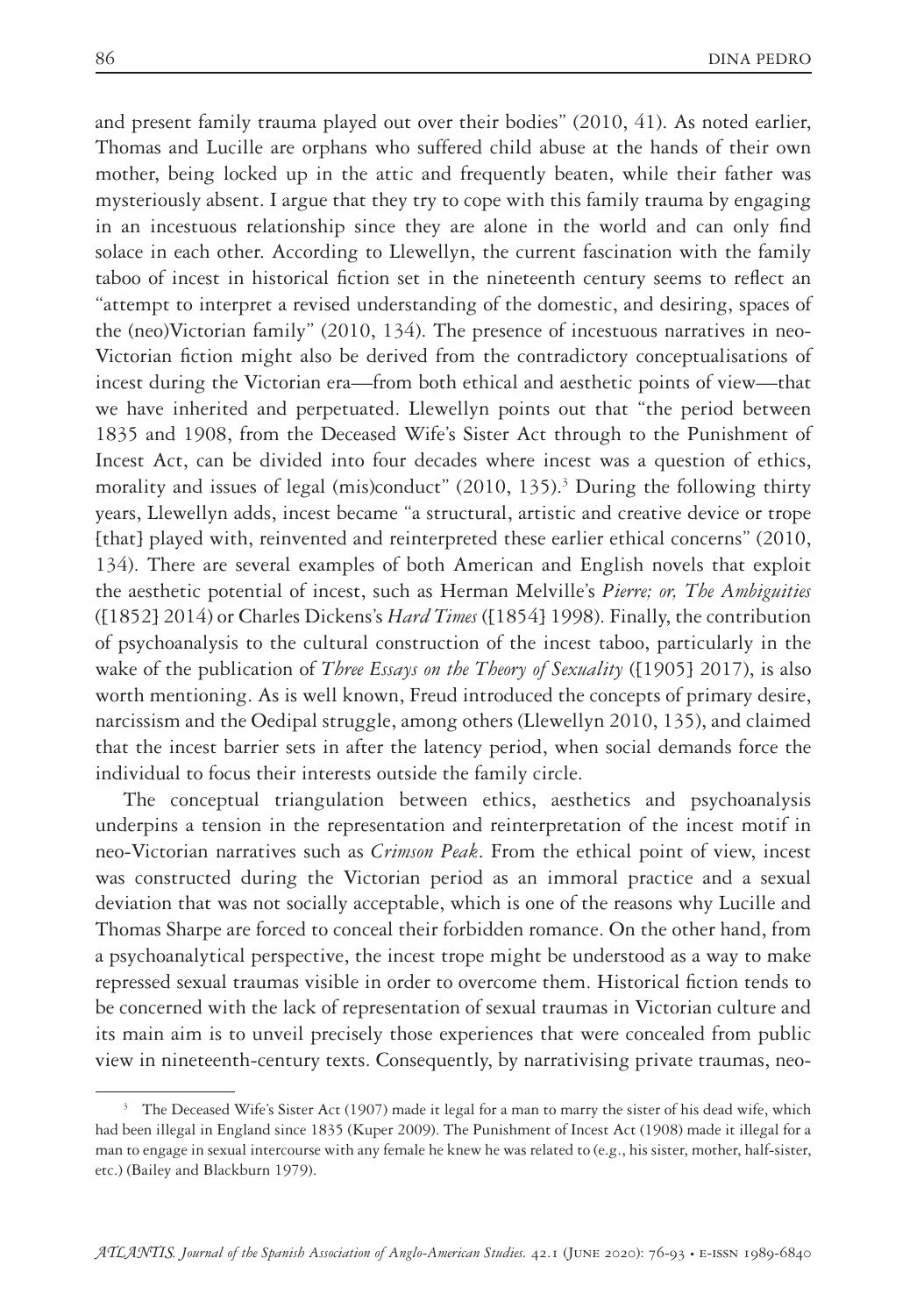and present family trauma played out over their bodies" (2010, 41). As noted earlier, Thomas and Lucille are orphans who suffered child abuse at the hands of their own mother, being locked up in the attic and frequently beaten, while their father was mysteriously absent. I argue that they try to cope with this family trauma by engaging in an incestuous relationship since they are alone in the world and can only find solace in each other. According to Llewellyn, the current fascination with the family taboo of incest in historical fiction set in the nineteenth century seems to reflect an "attempt to interpret a revised understanding of the domestic, and desiring, spaces of the (neo)Victorian family" (2010, 134). The presence of incestuous narratives in neo-Victorian fiction might also be derived from the contradictory conceptualisations of incest during the Victorian era—from both ethical and aesthetic points of view—that we have inherited and perpetuated. Llewellyn points out that "the period between 1835 and 1908, from the Deceased Wife's Sister Act through to the Punishment of Incest Act, can be divided into four decades where incest was a question of ethics, morality and issues of legal (mis)conduct" (2010, 135).<sup>3</sup> During the following thirty years, Llewellyn adds, incest became "a structural, artistic and creative device or trope [that] played with, reinvented and reinterpreted these earlier ethical concerns" (2010, 134). There are several examples of both American and English novels that exploit the aesthetic potential of incest, such as Herman Melville's *Pierre; or, The Ambiguities* ([1852] 2014) or Charles Dickens's *Hard Times* ([1854] 1998). Finally, the contribution of psychoanalysis to the cultural construction of the incest taboo, particularly in the wake of the publication of *Three Essays on the Theory of Sexuality* ([1905] 2017), is also worth mentioning. As is well known, Freud introduced the concepts of primary desire, narcissism and the Oedipal struggle, among others (Llewellyn 2010, 135), and claimed that the incest barrier sets in after the latency period, when social demands force the individual to focus their interests outside the family circle.

The conceptual triangulation between ethics, aesthetics and psychoanalysis underpins a tension in the representation and reinterpretation of the incest motif in neo-Victorian narratives such as *Crimson Peak*. From the ethical point of view, incest was constructed during the Victorian period as an immoral practice and a sexual deviation that was not socially acceptable, which is one of the reasons why Lucille and Thomas Sharpe are forced to conceal their forbidden romance. On the other hand, from a psychoanalytical perspective, the incest trope might be understood as a way to make repressed sexual traumas visible in order to overcome them. Historical fiction tends to be concerned with the lack of representation of sexual traumas in Victorian culture and its main aim is to unveil precisely those experiences that were concealed from public view in nineteenth-century texts. Consequently, by narrativising private traumas, neo-

<sup>&</sup>lt;sup>3</sup> The Deceased Wife's Sister Act (1907) made it legal for a man to marry the sister of his dead wife, which had been illegal in England since 1835 (Kuper 2009). The Punishment of Incest Act (1908) made it illegal for a man to engage in sexual intercourse with any female he knew he was related to (e.g., his sister, mother, half-sister, etc.) (Bailey and Blackburn 1979).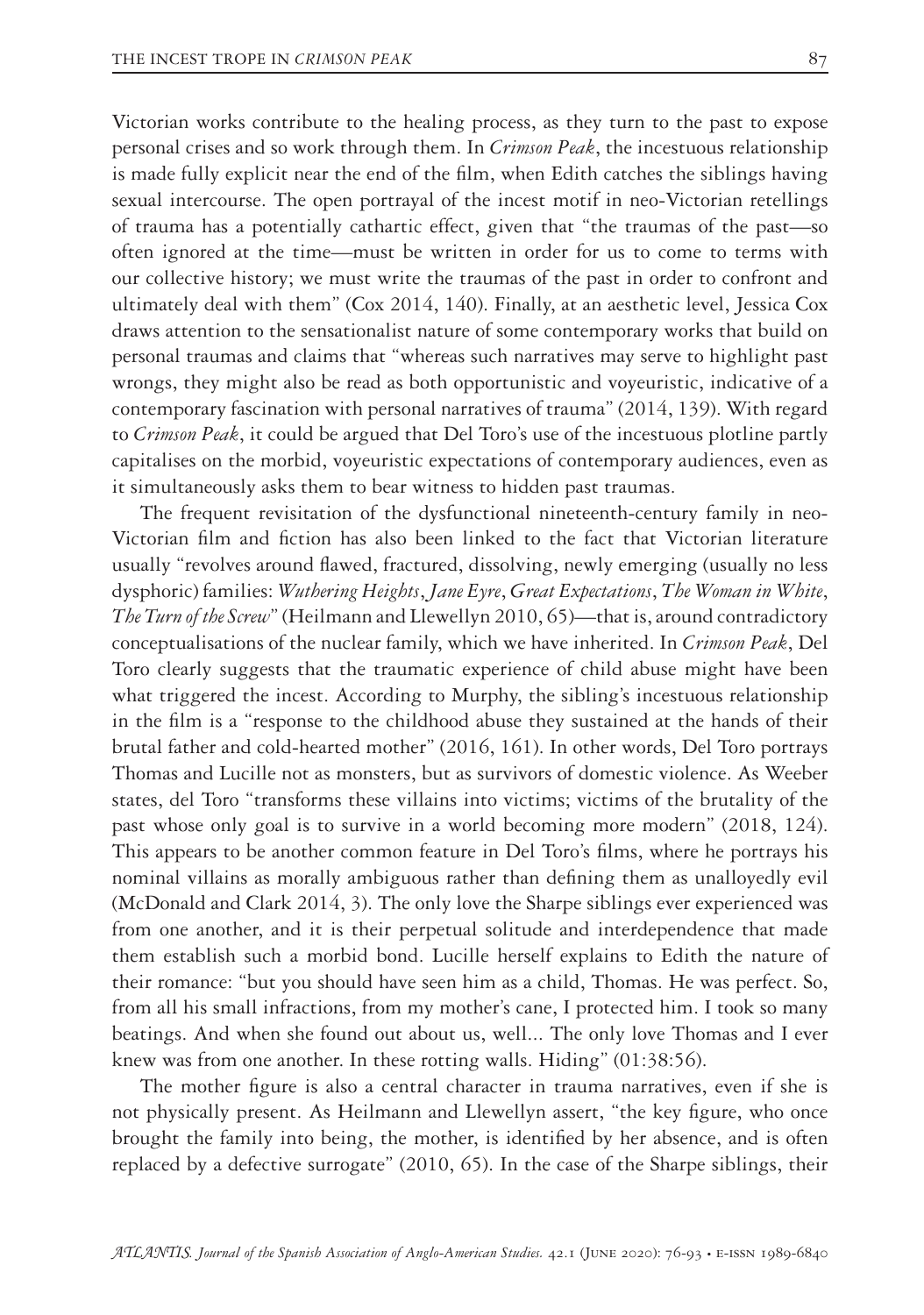Victorian works contribute to the healing process, as they turn to the past to expose personal crises and so work through them. In *Crimson Peak*, the incestuous relationship is made fully explicit near the end of the film, when Edith catches the siblings having sexual intercourse. The open portrayal of the incest motif in neo-Victorian retellings of trauma has a potentially cathartic effect, given that "the traumas of the past—so often ignored at the time—must be written in order for us to come to terms with our collective history; we must write the traumas of the past in order to confront and ultimately deal with them" (Cox 2014, 140). Finally, at an aesthetic level, Jessica Cox draws attention to the sensationalist nature of some contemporary works that build on personal traumas and claims that "whereas such narratives may serve to highlight past wrongs, they might also be read as both opportunistic and voyeuristic, indicative of a contemporary fascination with personal narratives of trauma" (2014, 139). With regard to *Crimson Peak*, it could be argued that Del Toro's use of the incestuous plotline partly capitalises on the morbid, voyeuristic expectations of contemporary audiences, even as it simultaneously asks them to bear witness to hidden past traumas.

The frequent revisitation of the dysfunctional nineteenth-century family in neo-Victorian film and fiction has also been linked to the fact that Victorian literature usually "revolves around flawed, fractured, dissolving, newly emerging (usually no less dysphoric) families: *Wuthering Heights*, *Jane Eyre*, *Great Expectations*, *The Woman in White*, *The Turn of the Screw*" (Heilmann and Llewellyn 2010, 65)—that is, around contradictory conceptualisations of the nuclear family, which we have inherited. In *Crimson Peak*, Del Toro clearly suggests that the traumatic experience of child abuse might have been what triggered the incest. According to Murphy, the sibling's incestuous relationship in the film is a "response to the childhood abuse they sustained at the hands of their brutal father and cold-hearted mother" (2016, 161). In other words, Del Toro portrays Thomas and Lucille not as monsters, but as survivors of domestic violence. As Weeber states, del Toro "transforms these villains into victims; victims of the brutality of the past whose only goal is to survive in a world becoming more modern" (2018, 124). This appears to be another common feature in Del Toro's films, where he portrays his nominal villains as morally ambiguous rather than defining them as unalloyedly evil (McDonald and Clark 2014, 3). The only love the Sharpe siblings ever experienced was from one another, and it is their perpetual solitude and interdependence that made them establish such a morbid bond. Lucille herself explains to Edith the nature of their romance: "but you should have seen him as a child, Thomas. He was perfect. So, from all his small infractions, from my mother's cane, I protected him. I took so many beatings. And when she found out about us, well... The only love Thomas and I ever knew was from one another. In these rotting walls. Hiding" (01:38:56).

The mother figure is also a central character in trauma narratives, even if she is not physically present. As Heilmann and Llewellyn assert, "the key figure, who once brought the family into being, the mother, is identified by her absence, and is often replaced by a defective surrogate" (2010, 65). In the case of the Sharpe siblings, their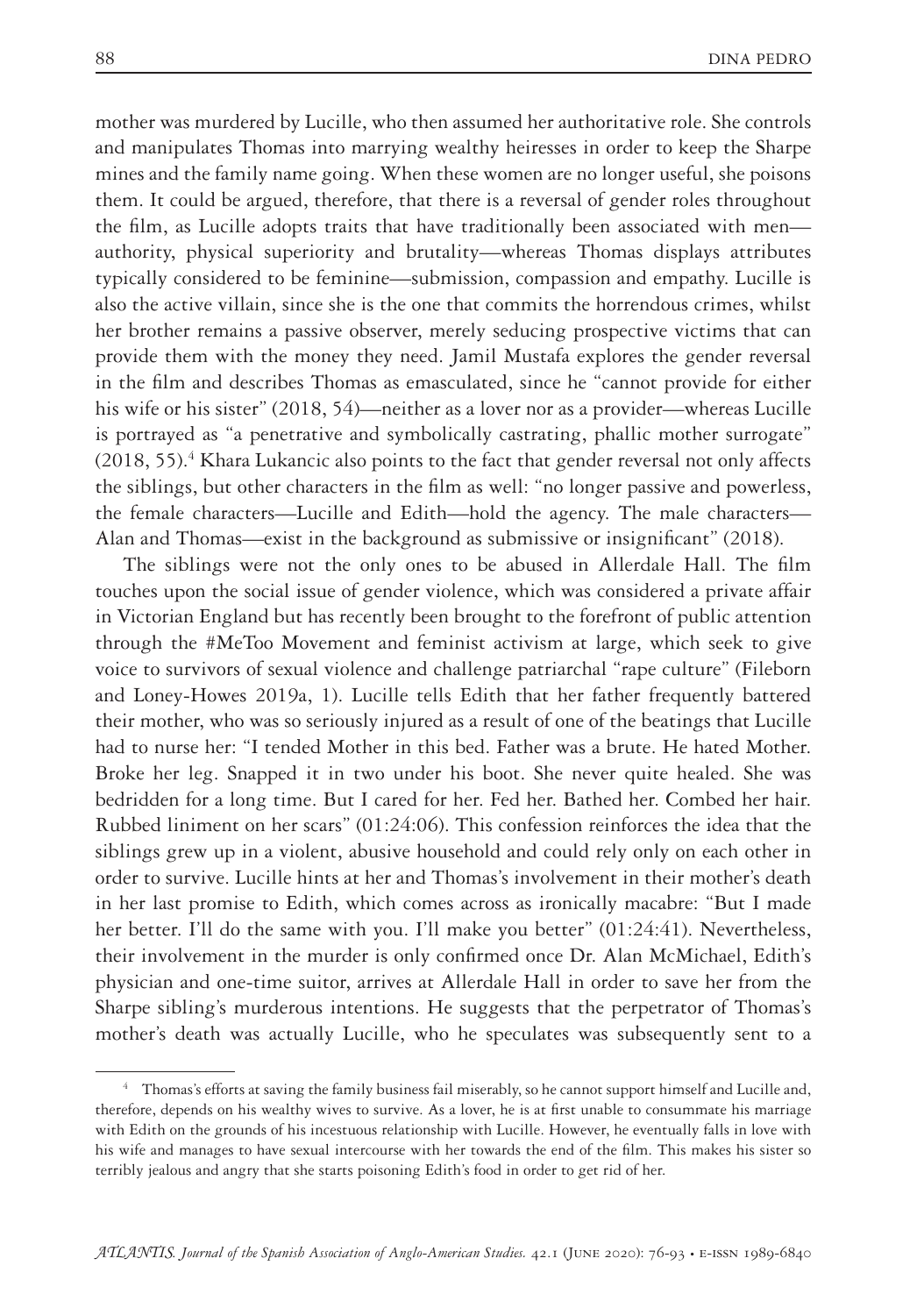mother was murdered by Lucille, who then assumed her authoritative role. She controls and manipulates Thomas into marrying wealthy heiresses in order to keep the Sharpe mines and the family name going. When these women are no longer useful, she poisons them. It could be argued, therefore, that there is a reversal of gender roles throughout the film, as Lucille adopts traits that have traditionally been associated with men authority, physical superiority and brutality—whereas Thomas displays attributes typically considered to be feminine—submission, compassion and empathy. Lucille is also the active villain, since she is the one that commits the horrendous crimes, whilst her brother remains a passive observer, merely seducing prospective victims that can provide them with the money they need. Jamil Mustafa explores the gender reversal in the film and describes Thomas as emasculated, since he "cannot provide for either his wife or his sister" (2018, 54)—neither as a lover nor as a provider—whereas Lucille is portrayed as "a penetrative and symbolically castrating, phallic mother surrogate"  $(2018, 55).$ <sup>4</sup> Khara Lukancic also points to the fact that gender reversal not only affects the siblings, but other characters in the film as well: "no longer passive and powerless, the female characters—Lucille and Edith—hold the agency. The male characters— Alan and Thomas—exist in the background as submissive or insignificant" (2018).

The siblings were not the only ones to be abused in Allerdale Hall. The film touches upon the social issue of gender violence, which was considered a private affair in Victorian England but has recently been brought to the forefront of public attention through the #MeToo Movement and feminist activism at large, which seek to give voice to survivors of sexual violence and challenge patriarchal "rape culture" (Fileborn and Loney-Howes 2019a, 1). Lucille tells Edith that her father frequently battered their mother, who was so seriously injured as a result of one of the beatings that Lucille had to nurse her: "I tended Mother in this bed. Father was a brute. He hated Mother. Broke her leg. Snapped it in two under his boot. She never quite healed. She was bedridden for a long time. But I cared for her. Fed her. Bathed her. Combed her hair. Rubbed liniment on her scars" (01:24:06). This confession reinforces the idea that the siblings grew up in a violent, abusive household and could rely only on each other in order to survive. Lucille hints at her and Thomas's involvement in their mother's death in her last promise to Edith, which comes across as ironically macabre: "But I made her better. I'll do the same with you. I'll make you better" (01:24:41). Nevertheless, their involvement in the murder is only confirmed once Dr. Alan McMichael, Edith's physician and one-time suitor, arrives at Allerdale Hall in order to save her from the Sharpe sibling's murderous intentions. He suggests that the perpetrator of Thomas's mother's death was actually Lucille, who he speculates was subsequently sent to a

<sup>4</sup> Thomas's efforts at saving the family business fail miserably, so he cannot support himself and Lucille and, therefore, depends on his wealthy wives to survive. As a lover, he is at first unable to consummate his marriage with Edith on the grounds of his incestuous relationship with Lucille. However, he eventually falls in love with his wife and manages to have sexual intercourse with her towards the end of the film. This makes his sister so terribly jealous and angry that she starts poisoning Edith's food in order to get rid of her.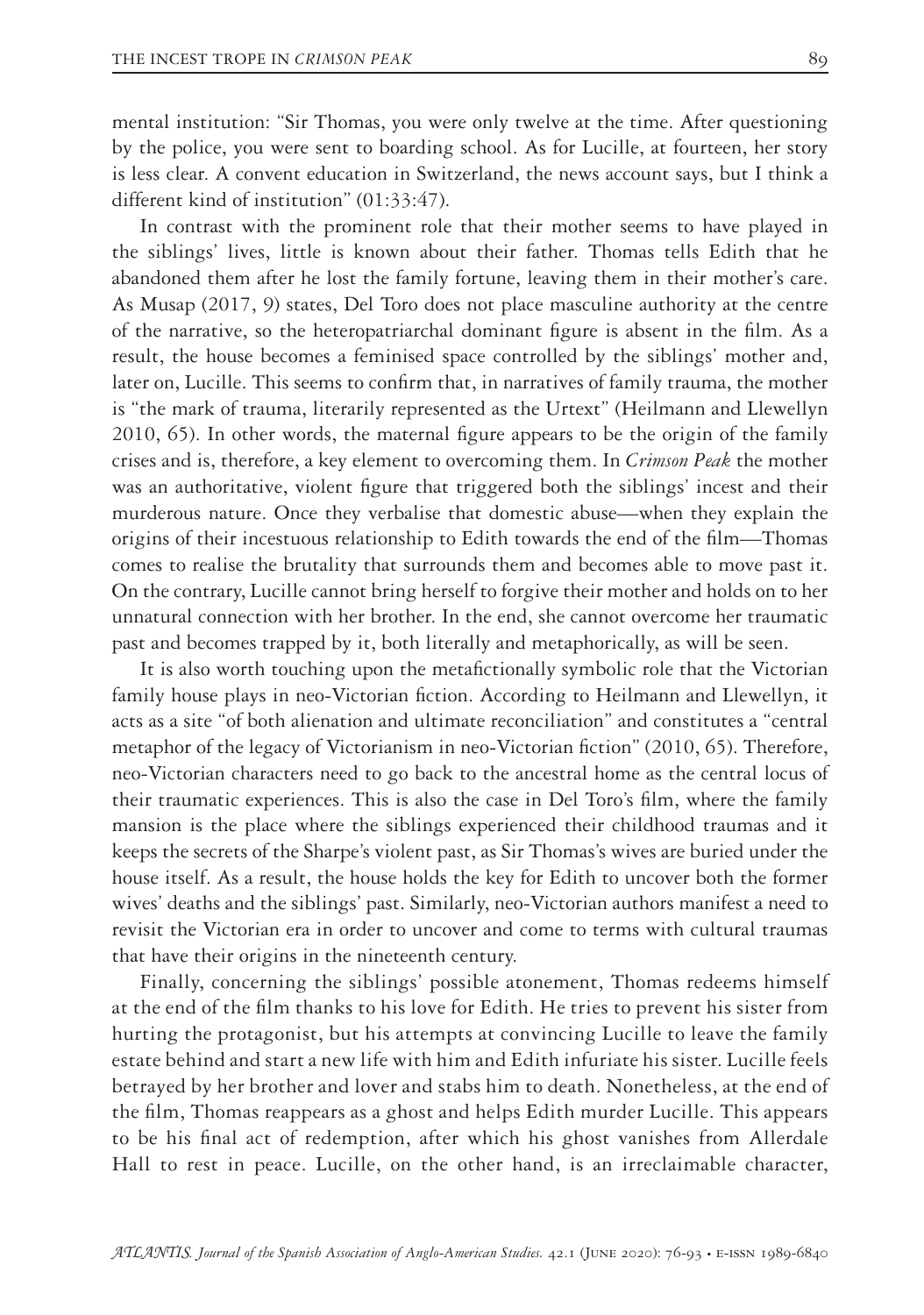mental institution: "Sir Thomas, you were only twelve at the time. After questioning by the police, you were sent to boarding school. As for Lucille, at fourteen, her story is less clear. A convent education in Switzerland, the news account says, but I think a different kind of institution" (01:33:47).

In contrast with the prominent role that their mother seems to have played in the siblings' lives, little is known about their father. Thomas tells Edith that he abandoned them after he lost the family fortune, leaving them in their mother's care. As Musap (2017, 9) states, Del Toro does not place masculine authority at the centre of the narrative, so the heteropatriarchal dominant figure is absent in the film. As a result, the house becomes a feminised space controlled by the siblings' mother and, later on, Lucille. This seems to confirm that, in narratives of family trauma, the mother is "the mark of trauma, literarily represented as the Urtext" (Heilmann and Llewellyn 2010, 65). In other words, the maternal figure appears to be the origin of the family crises and is, therefore, a key element to overcoming them. In *Crimson Peak* the mother was an authoritative, violent figure that triggered both the siblings' incest and their murderous nature. Once they verbalise that domestic abuse—when they explain the origins of their incestuous relationship to Edith towards the end of the film—Thomas comes to realise the brutality that surrounds them and becomes able to move past it. On the contrary, Lucille cannot bring herself to forgive their mother and holds on to her unnatural connection with her brother. In the end, she cannot overcome her traumatic past and becomes trapped by it, both literally and metaphorically, as will be seen.

It is also worth touching upon the metafictionally symbolic role that the Victorian family house plays in neo-Victorian fiction. According to Heilmann and Llewellyn, it acts as a site "of both alienation and ultimate reconciliation" and constitutes a "central metaphor of the legacy of Victorianism in neo-Victorian fiction" (2010, 65). Therefore, neo-Victorian characters need to go back to the ancestral home as the central locus of their traumatic experiences. This is also the case in Del Toro's film, where the family mansion is the place where the siblings experienced their childhood traumas and it keeps the secrets of the Sharpe's violent past, as Sir Thomas's wives are buried under the house itself. As a result, the house holds the key for Edith to uncover both the former wives' deaths and the siblings' past. Similarly, neo-Victorian authors manifest a need to revisit the Victorian era in order to uncover and come to terms with cultural traumas that have their origins in the nineteenth century.

Finally, concerning the siblings' possible atonement, Thomas redeems himself at the end of the film thanks to his love for Edith. He tries to prevent his sister from hurting the protagonist, but his attempts at convincing Lucille to leave the family estate behind and start a new life with him and Edith infuriate his sister. Lucille feels betrayed by her brother and lover and stabs him to death. Nonetheless, at the end of the film, Thomas reappears as a ghost and helps Edith murder Lucille. This appears to be his final act of redemption, after which his ghost vanishes from Allerdale Hall to rest in peace. Lucille, on the other hand, is an irreclaimable character,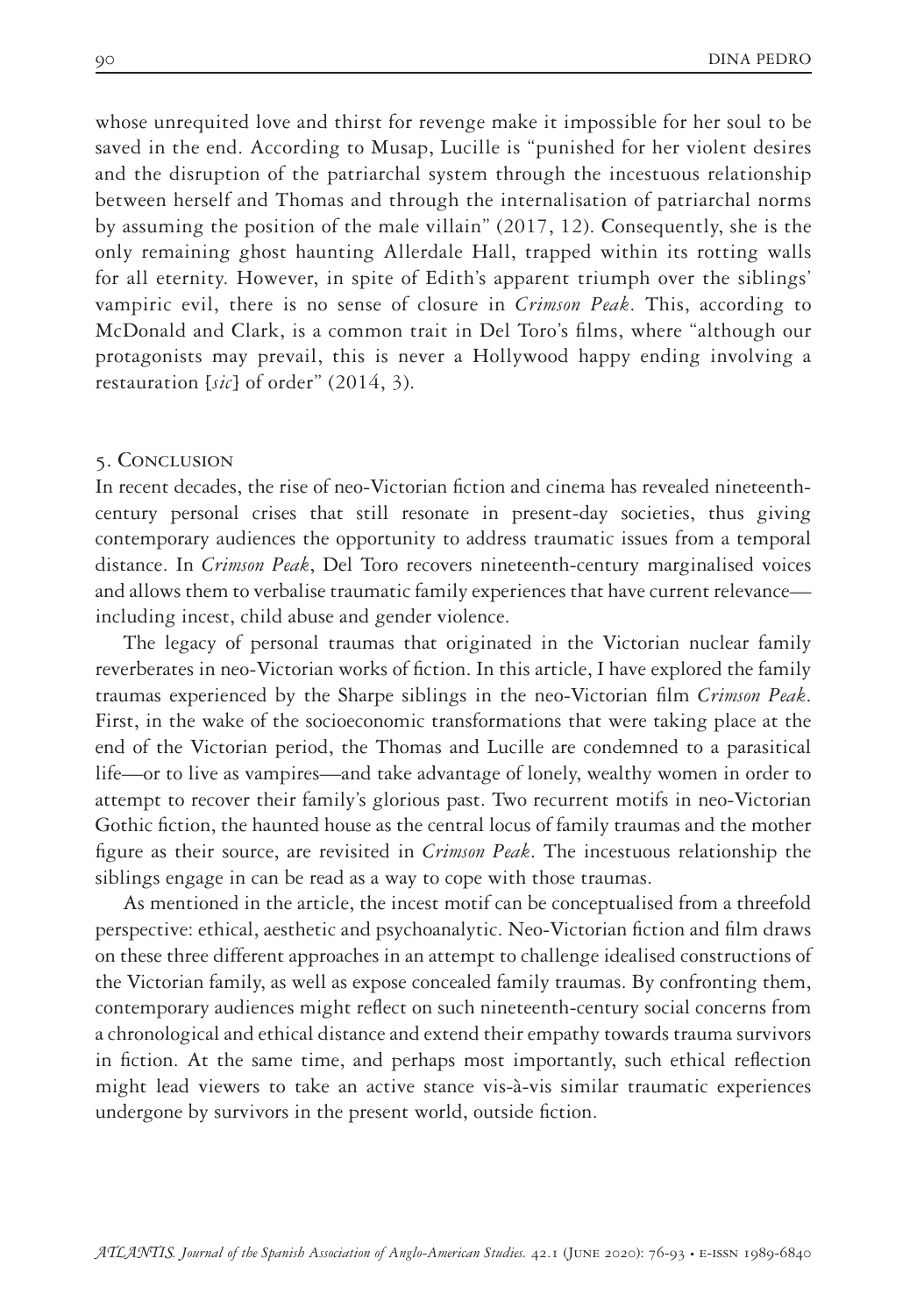whose unrequited love and thirst for revenge make it impossible for her soul to be saved in the end. According to Musap, Lucille is "punished for her violent desires and the disruption of the patriarchal system through the incestuous relationship between herself and Thomas and through the internalisation of patriarchal norms by assuming the position of the male villain" (2017, 12). Consequently, she is the only remaining ghost haunting Allerdale Hall, trapped within its rotting walls for all eternity. However, in spite of Edith's apparent triumph over the siblings' vampiric evil, there is no sense of closure in *Crimson Peak*. This, according to McDonald and Clark, is a common trait in Del Toro's films, where "although our protagonists may prevail, this is never a Hollywood happy ending involving a restauration [*sic*] of order" (2014, 3).

#### 5. Conclusion

In recent decades, the rise of neo-Victorian fiction and cinema has revealed nineteenthcentury personal crises that still resonate in present-day societies, thus giving contemporary audiences the opportunity to address traumatic issues from a temporal distance. In *Crimson Peak*, Del Toro recovers nineteenth-century marginalised voices and allows them to verbalise traumatic family experiences that have current relevance including incest, child abuse and gender violence.

The legacy of personal traumas that originated in the Victorian nuclear family reverberates in neo-Victorian works of fiction. In this article, I have explored the family traumas experienced by the Sharpe siblings in the neo-Victorian film *Crimson Peak*. First, in the wake of the socioeconomic transformations that were taking place at the end of the Victorian period, the Thomas and Lucille are condemned to a parasitical life—or to live as vampires—and take advantage of lonely, wealthy women in order to attempt to recover their family's glorious past. Two recurrent motifs in neo-Victorian Gothic fiction, the haunted house as the central locus of family traumas and the mother figure as their source, are revisited in *Crimson Peak*. The incestuous relationship the siblings engage in can be read as a way to cope with those traumas.

As mentioned in the article, the incest motif can be conceptualised from a threefold perspective: ethical, aesthetic and psychoanalytic. Neo-Victorian fiction and film draws on these three different approaches in an attempt to challenge idealised constructions of the Victorian family, as well as expose concealed family traumas. By confronting them, contemporary audiences might reflect on such nineteenth-century social concerns from a chronological and ethical distance and extend their empathy towards trauma survivors in fiction. At the same time, and perhaps most importantly, such ethical reflection might lead viewers to take an active stance vis-à-vis similar traumatic experiences undergone by survivors in the present world, outside fiction.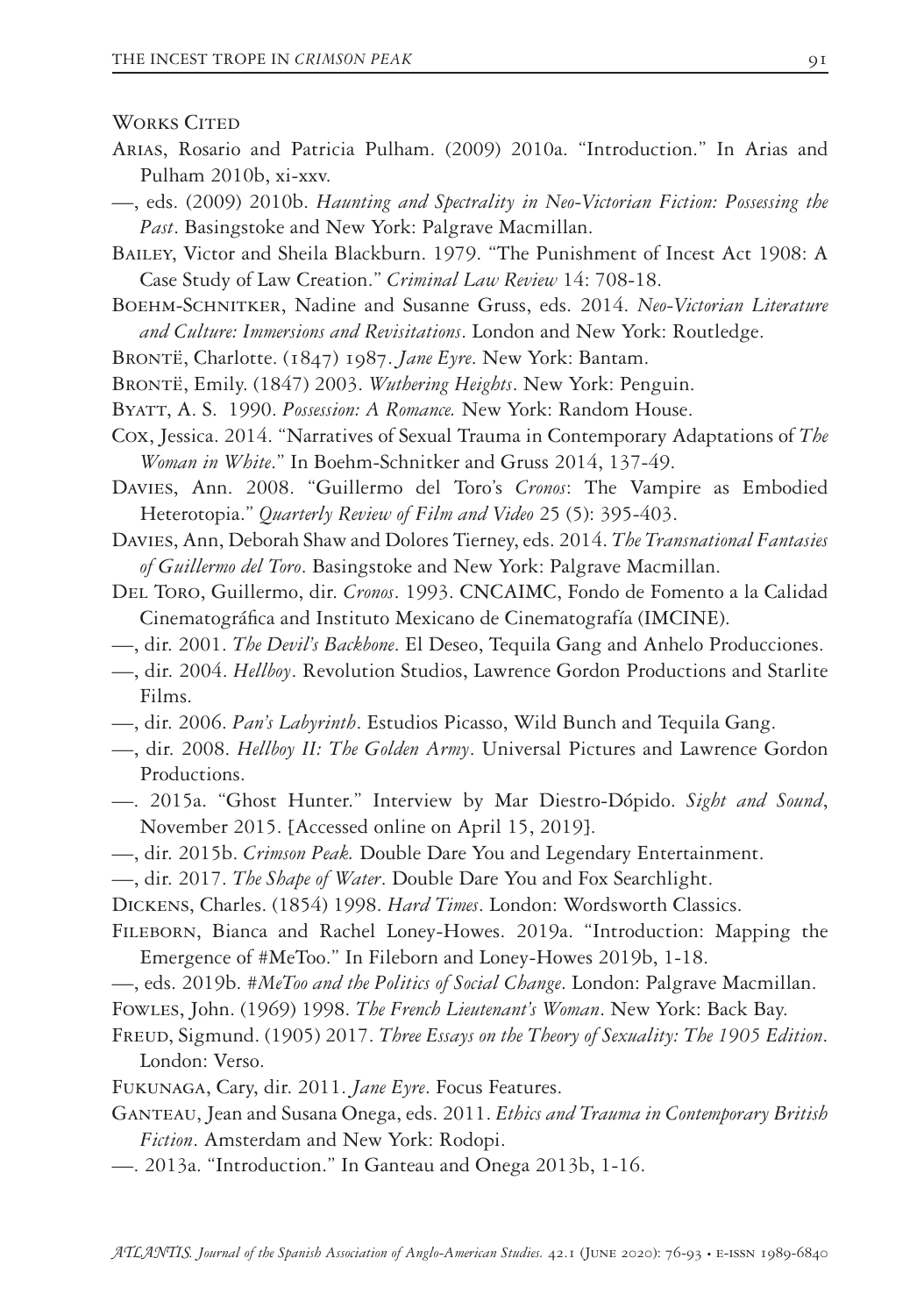**WORKS CITED** 

- Arias, Rosario and Patricia Pulham. (2009) 2010a. "Introduction." In Arias and Pulham 2010b, xi-xxv.
- —, eds. (2009) 2010b. *Haunting and Spectrality in Neo-Victorian Fiction: Possessing the Past*. Basingstoke and New York: Palgrave Macmillan.
- Bailey, Victor and Sheila Blackburn. 1979. "The Punishment of Incest Act 1908: A Case Study of Law Creation." *Criminal Law Review* 14: 708-18.
- Boehm-Schnitker, Nadine and Susanne Gruss, eds. 2014. *Neo-Victorian Literature and Culture: Immersions and Revisitations*. London and New York: Routledge.
- Brontë, Charlotte. (1847) 1987. *Jane Eyre*. New York: Bantam.
- Brontë, Emily. (1847) 2003. *Wuthering Heights*. New York: Penguin.
- Byatt, A. S. 1990. *Possession: A Romance.* New York: Random House.
- Cox, Jessica. 2014. "Narratives of Sexual Trauma in Contemporary Adaptations of *The Woman in White*." In Boehm-Schnitker and Gruss 2014, 137-49.
- Davies, Ann. 2008. "Guillermo del Toro's *Cronos*: The Vampire as Embodied Heterotopia." *Quarterly Review of Film and Video* 25 (5): 395-403.
- Davies, Ann, Deborah Shaw and Dolores Tierney, eds. 2014. *The Transnational Fantasies of Guillermo del Toro*. Basingstoke and New York: Palgrave Macmillan.
- Del Toro, Guillermo, dir. *Cronos*. 1993. CNCAIMC, Fondo de Fomento a la Calidad Cinematográfica and Instituto Mexicano de Cinematografía (IMCINE).
- —, dir. 2001. *The Devil's Backbone*. El Deseo, Tequila Gang and Anhelo Producciones.
- —, dir. 2004. *Hellboy*. Revolution Studios, Lawrence Gordon Productions and Starlite Films.
- —, dir. 2006. *Pan's Labyrinth*. Estudios Picasso, Wild Bunch and Tequila Gang.
- —, dir. 2008. *Hellboy II: The Golden Army*. Universal Pictures and Lawrence Gordon Productions.
- —. 2015a. "Ghost Hunter." Interview by Mar Diestro-Dópido. *Sight and Sound*, November 2015. [Accessed online on April 15, 2019].
- —, dir. 2015b. *Crimson Peak.* Double Dare You and Legendary Entertainment.
- —, dir. 2017. *The Shape of Water*. Double Dare You and Fox Searchlight.

Dickens, Charles. (1854) 1998. *Hard Times*. London: Wordsworth Classics.

- Fileborn, Bianca and Rachel Loney-Howes. 2019a. "Introduction: Mapping the Emergence of #MeToo." In Fileborn and Loney-Howes 2019b, 1-18.
- —, eds. 2019b. *#MeToo and the Politics of Social Change*. London: Palgrave Macmillan.
- Fowles, John. (1969) 1998. *The French Lieutenant's Woman*. New York: Back Bay.
- FREUD, Sigmund. (1905) 2017. *Three Essays on the Theory of Sexuality: The 1905 Edition*. London: Verso.
- Fukunaga, Cary, dir. 2011. *Jane Eyre*. Focus Features.
- Ganteau, Jean and Susana Onega, eds. 2011. *Ethics and Trauma in Contemporary British Fiction*. Amsterdam and New York: Rodopi.
- —. 2013a. "Introduction." In Ganteau and Onega 2013b, 1-16.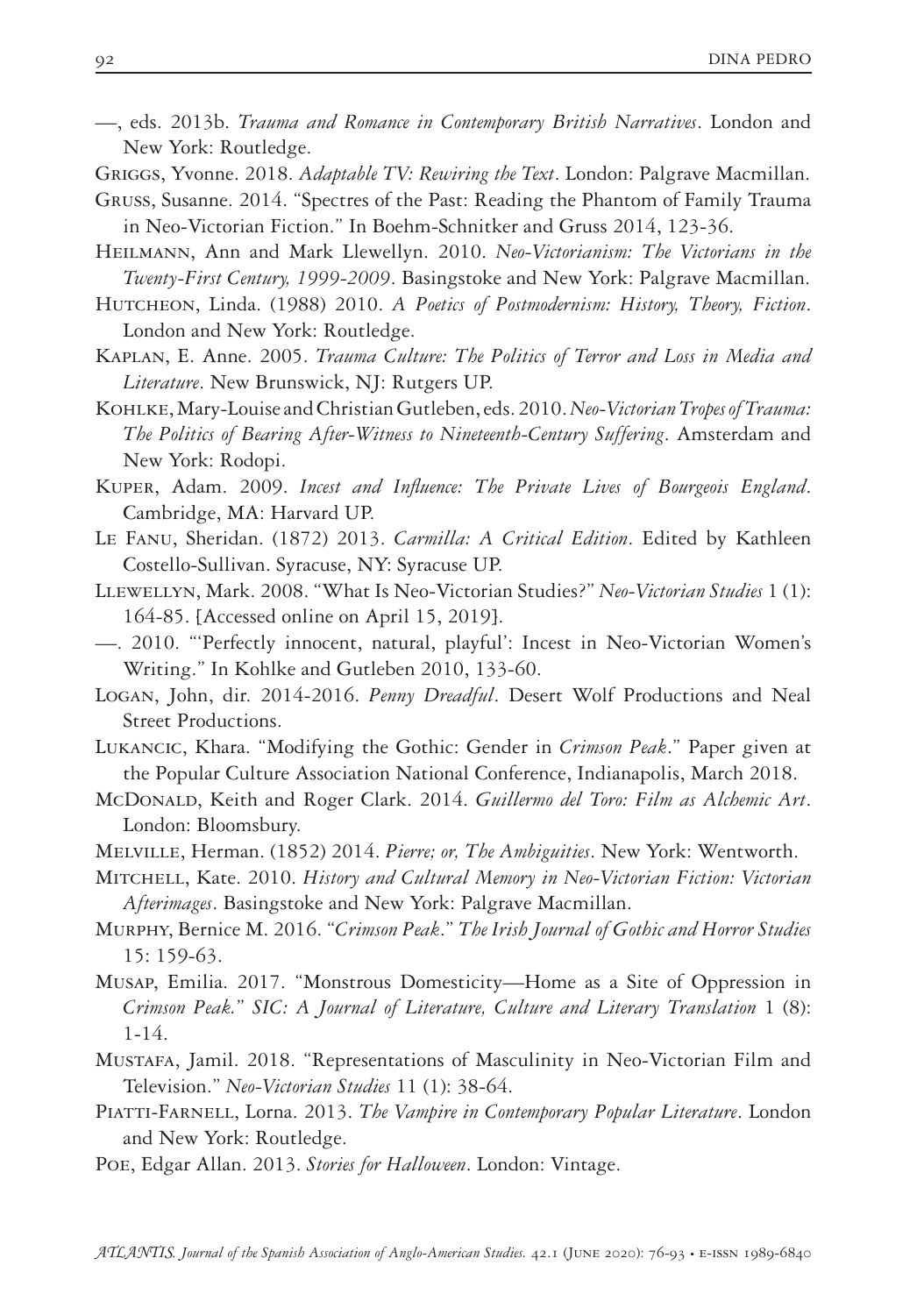- —, eds. 2013b. *Trauma and Romance in Contemporary British Narratives*. London and New York: Routledge.
- Griggs, Yvonne. 2018. *Adaptable TV: Rewiring the Text*. London: Palgrave Macmillan.
- Gruss, Susanne. 2014. "Spectres of the Past: Reading the Phantom of Family Trauma in Neo-Victorian Fiction." In Boehm-Schnitker and Gruss 2014, 123-36.
- Heilmann, Ann and Mark Llewellyn. 2010. *Neo-Victorianism: The Victorians in the Twenty-First Century, 1999-2009*. Basingstoke and New York: Palgrave Macmillan.
- Hutcheon, Linda. (1988) 2010. *A Poetics of Postmodernism: History, Theory, Fiction*. London and New York: Routledge.
- Kaplan, E. Anne. 2005. *Trauma Culture: The Politics of Terror and Loss in Media and Literature*. New Brunswick, NJ: Rutgers UP.
- Kohlke, Mary-Louise and Christian Gutleben, eds. 2010. *Neo-Victorian Tropes of Trauma: The Politics of Bearing After-Witness to Nineteenth-Century Suffering*. Amsterdam and New York: Rodopi.
- Kuper, Adam. 2009. *Incest and Influence: The Private Lives of Bourgeois England*. Cambridge, MA: Harvard UP.
- Le Fanu, Sheridan. (1872) 2013. *Carmilla: A Critical Edition*. Edited by Kathleen Costello-Sullivan. Syracuse, NY: Syracuse UP.
- Llewellyn, Mark. 2008. "What Is Neo-Victorian Studies?" *Neo-Victorian Studies* 1 (1): 164-85. [Accessed online on April 15, 2019].
- —. 2010. "'Perfectly innocent, natural, playful': Incest in Neo-Victorian Women's Writing." In Kohlke and Gutleben 2010, 133-60.
- Logan, John, dir. 2014-2016. *Penny Dreadful*. Desert Wolf Productions and Neal Street Productions.
- Lukancic, Khara. "Modifying the Gothic: Gender in *Crimson Peak*." Paper given at the Popular Culture Association National Conference, Indianapolis, March 2018.
- McDonald, Keith and Roger Clark. 2014. *Guillermo del Toro: Film as Alchemic Art*. London: Bloomsbury.
- Melville, Herman. (1852) 2014. *Pierre; or, The Ambiguities*. New York: Wentworth.
- Mitchell, Kate. 2010. *History and Cultural Memory in Neo-Victorian Fiction: Victorian Afterimages*. Basingstoke and New York: Palgrave Macmillan.
- Murphy, Bernice M. 2016. "*Crimson Peak*." *The Irish Journal of Gothic and Horror Studies* 15: 159-63.
- Musap, Emilia. 2017. "Monstrous Domesticity—Home as a Site of Oppression in *Crimson Peak.*" *SIC: A Journal of Literature, Culture and Literary Translation* 1 (8): 1-14.
- Mustafa, Jamil. 2018. "Representations of Masculinity in Neo-Victorian Film and Television." *Neo-Victorian Studies* 11 (1): 38-64.
- Piatti-Farnell, Lorna. 2013. *The Vampire in Contemporary Popular Literature*. London and New York: Routledge.
- Poe, Edgar Allan. 2013. *Stories for Halloween*. London: Vintage.